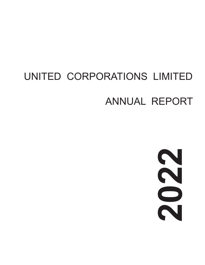# UNITED CORPORATIONS LIMITEDANNUAL REPORT

# **2022**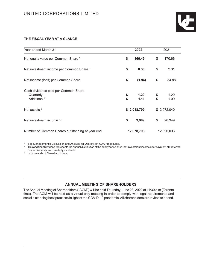

### **THE FISCAL YEAR AT A GLANCE**

| Year ended March 31                                                          | 2022                     | 2021                     |
|------------------------------------------------------------------------------|--------------------------|--------------------------|
| Net equity value per Common Share <sup>1</sup>                               | \$<br>166.49             | \$<br>170.66             |
| Net investment income per Common Share <sup>1</sup>                          | \$<br>0.30               | \$<br>2.31               |
| Net income (loss) per Common Share                                           | \$<br>(1.94)             | \$<br>34.88              |
| Cash dividends paid per Common Share<br>Quarterly<br>Additional <sup>2</sup> | \$<br>1.20<br>\$<br>1.11 | \$<br>\$<br>1.20<br>1.09 |
| Net assets $3$                                                               | \$2,018,799              | \$2,072,040              |
| Net investment income $1,3$                                                  | \$<br>3,989              | \$<br>28,349             |
| Number of Common Shares outstanding at year end                              | 12,078,793               | 12,096,093               |

<sup>1</sup> See Management's Discussion and Analysis for Use of Non-GAAP measures.<br><sup>2</sup> This additional dividend represents the annual distribution of the prior vear's annual

This additional dividend represents the annual distribution of the prior year's annual net investment income after payment of Preferred Share dividends and quarterly dividends.

<sup>3</sup> In thousands of Canadian dollars.

# **ANNUAL MEETING OF SHAREHOLDERS**

The Annual Meeting of Shareholders ("AGM") will be held Thursday, June 23, 2022 at 11:30 a.m (Toronto time). The AGM will be held as a virtual-only meeting in order to comply with legal requirements and social distancing best practices in light of the COVID-19 pandemic. All shareholders are invited to attend.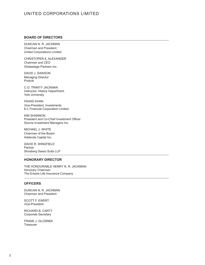#### **BOARD OF DIRECTORS**

DUNCAN N. R. JACKMAN Chairman and President United Corporations Limited

CHRISTOPER A. ALEXANDER Chairman and CEO Globestage Partners Inc.

DAVID J. DAWSON Managing Director Protiviti

C.O. TRINITY JACKMAN Instructor, History Department York University

FAHAD KHAN Vice-President, Investments E-L Financial Corporation Limited

KIM SHANNON President and Co-Chief Investment Officer Sionna Investment Managers Inc.

MICHAEL J. WHITE Chairman of the Board Addenda Capital Inc.

DAVID R. WINGFIELD Partner Strosberg Sasso Sutts LLP

#### **HONORARY DIRECTOR**

THE HONOURABLE HENRY N. R. JACKMAN Honorary Chairman The Empire Life Insurance Company

#### **OFFICERS**

DUNCAN N. R. JACKMAN Chairman and President

SCOTT F. EWERT Vice-President

RICHARD B. CARTY Corporate Secretary

FRANK J. GLOSNEK **Treasurer**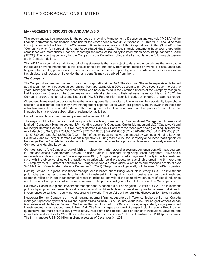#### **MANAGEMENT'S DISCUSSION AND ANALYSIS**

This document has been prepared for the purpose of providing Management's Discussion and Analysis ("MD&A") of the financial performance and financial condition for the years ended March 31, 2022 and 2021. This MD&A should be read in conjunction with the March 31, 2022 year-end financial statements of United Corporations Limited ("United" or the "Company") which form part of this Annual Report dated May 6, 2022. These financial statements have been prepared in compliance with International Financial Reporting Standards, as issued by the International Accounting Standards Board ("IFRS"). The reporting currency for the Company is the Canadian dollar, and all amounts in the following discussion are in Canadian dollars.

This MD&A may contain certain forward-looking statements that are subject to risks and uncertainties that may cause the results or events mentioned in this discussion to differ materially from actual results or events. No assurance can be given that results, performance or achievement expressed in, or implied by, any forward-looking statements within this disclosure will occur, or if they do, that any benefits may be derived from them.

#### **The Company**

The Company has been a closed-end investment corporation since 1929. The Common Shares have persistently traded at a discount to their net asset value, ranging from approximately a 20% discount to a 40% discount over the past 10 years. Management believes that shareholders who have invested in the Common Shares of the Company recognize that the Common Shares of the Company usually trade at a discount to their net asset value. On March 9, 2022, the Company renewed its normal course issuer bid ("NCIB"). Further information is included on page 9 of this annual report.

Closed-end investment corporations have the following benefits: they often allow investors the opportunity to purchase assets at a discounted price; they have management expense ratios which are generally much lower than those for actively-managed open-ended funds; and the management of a closed-end investment corporation's portfolio is not impacted by shareholder subscription or redemption activities.

United has no plans to become an open-ended investment fund.

The majority of the Company's investment portfolio is actively managed by Comgest Asset Management International Limited ("Comgest"), Harding Loevner LP ("Harding Loevner"), Causeway Capital Management LLC ("Causeway") and Neuberger Berman Canada ULC ("Neuberger Berman Canada"). Each of these managers has a global equity mandate. As of March 31, 2022, \$547,731,000 (2021 - \$770,341,000), \$547,461,000 (2021 - \$785,480,000), \$413,477,000 (2021 - \$427,880,000) and \$393,865,000 (2021 - \$nil) of equity investments were managed by Comgest, Harding Loevner, Causeway, and Neuberger Berman Canada respectively. During March 2022, the Company announced that it appointed Neuberger Berger Canada to provide portfolio management services for a portion of its assets previously managed by Comgest and Harding Loevner.

Comgest is part of the Comgest group which is an independent, international asset management group, with headquarters in Paris and offices in Amsterdam, Boston, Brussels, Dublin, Düsseldorf, Hong Kong, Milan, Singapore, Tokyo and a representative office in London. Since inception in 1985, Comgest has pursued a long-term 'Quality Growth' investment style with the objective of selecting quality companies with solid prospects for sustainable growth. With more than 180 employees of 30 different nationalities, Comgest serves a diverse global client base and manages assets of over \$46.9 billion USD (estimated data as of December 31, 2021). The portfolio will generally hold between 30 - 40 companies.

Harding Loevner is a global investment manager and is based out of Bridgewater, New Jersey, USA. The investment philosophy emphasizes the merits of long-term investment in high-quality, growing businesses, and the investment approach relies on in-depth fundamental research including analysis of the competitive structure of global industries and the competitive position of individual companies. The portfolio will generally hold between 35 – 75 companies.

Causeway Capital is a global investment manager and is based out of Los Angeles, California, USA. The investment philosophy emphasizes the merits of value investing and combines both fundamental and quantitative research to identify investment opportunities in equity markets around the world. The portfolio will generally hold between 40 – 60 companies.

Neuberger Berman Canada is an investment management firm headquartered in Toronto. Neuberger Berman Canada manages its portfolio by investing in global equities tracking the MSCI All Country World Index. Neuberger Berman Canada is a business of Neuberger Berman. Neuberger Berman, founded in 1939, is a private, independent, employee-owned investment manager headquartered in New York. The firm manages a range of strategies including equity, fixed income, quantitative and multi-asset class, private equity, real estate and hedge funds on behalf of institutions, advisors and individual investors globally. With offices in 25 countries, Neuberger Berman's diverse team has over 2,400 professionals. The firm manages US\$460 billion in client assets as of December 31, 2021.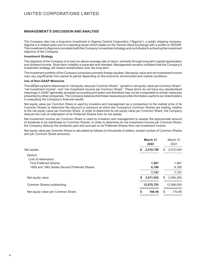#### **MANAGEMENT'S DISCUSSION AND ANALYSIS**

The Company also has a long-term investment in Algoma Central Corporation ("Algoma"), a public shipping company. Algoma is a related party and is a reporting issuer which trades on the Toronto Stock Exchange with a profile on SEDAR. The investment in Algoma is consistent with the Company's investment strategy and contributes to achieving the investment objective of the Company.

#### **Investment Strategy**

The objective of the Company is to earn an above-average rate of return, primarily through long-term capital appreciation and dividend income. Short-term volatility is expected and tolerated. Management remains confident that the Company's investment strategy will reward shareholders over the long term.

The investment portfolio of the Company comprises primarily foreign equities. Net equity value and net investment income may vary significantly from period to period depending on the economic environment and market conditions.

#### **Use of Non-GAAP Measures**

This MD&A contains references to "net equity value per Common Share", "growth in net equity value per Common Share", "net investment income", and "net investment income per Common Share". These terms do not have any standardized meanings in GAAP (generally accepted accounting principles) and therefore may not be comparable to similar measures presented by other companies. The Company believes that these measures provide information useful to our shareholders in evaluating the Company's financial results.

Net equity value per Common Share is used by investors and management as a comparison to the market price of its Common Shares to determine the discount or premium at which the Company's Common Shares are trading, relative to the net equity value per Common Share. In order to determine its net equity value per Common Share, the Company deducts the cost of redemption of its Preferred Shares from its net assets.

Net investment income per Common Share is used by investors and management to assess the approximate amount of dividends to be distributed on Common Shares. In order to determine its net investment income per Common Share, the Company deducts the dividends paid and accrued on its Preferred Shares from net investment income.

Net equity value per Common Share is calculated as follows (in thousands of dollars, except number of Common Shares and per Common Share amounts):

|                                                                                                                | March 31<br>2022 | March 31<br>2021 |
|----------------------------------------------------------------------------------------------------------------|------------------|------------------|
| Net assets                                                                                                     | 2,018,799<br>S.  | 2,072,040<br>S.  |
| Deduct:<br>Cost of redemption<br><b>First Preferred Shares</b><br>1959 and 1963 Series Second Preferred Shares | 1,567<br>6,180   | 1,567<br>6,180   |
|                                                                                                                | 7,747            | 7,747            |
| Net equity value                                                                                               | 2,011,052<br>S.  | 2,064,293<br>\$. |
| Common Shares outstanding                                                                                      | 12,078,793       | 12,096,093       |
| Net equity value per Common Share                                                                              | 166.49<br>S      | \$<br>170.66     |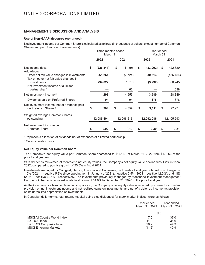#### **MANAGEMENT'S DISCUSSION AND ANALYSIS**

#### **Use of Non-GAAP Measures (continued)**

Net investment income per Common Share is calculated as follows (in thousands of dollars, except number of Common Shares and per Common Share amounts):

|                                                                                       | Three months ended<br>March 31 |            |    | Year ended<br>March 31 |    |            |    |            |
|---------------------------------------------------------------------------------------|--------------------------------|------------|----|------------------------|----|------------|----|------------|
|                                                                                       |                                | 2022       |    | 2021                   |    | 2022       |    | 2021       |
| Net income (loss)<br>Add (deduct):                                                    |                                | (226, 341) | \$ | 11,595                 | \$ | (23,092)   | \$ | 422,620    |
| Other net fair value changes in investments<br>Tax on other net fair value changes in |                                | 261,261    |    | (7, 724)               |    | 30,313     |    | (456, 154) |
| investments<br>Net investment income of a limited                                     |                                | (34, 622)  |    | 1,016                  |    | (3, 232)   |    | 60,245     |
| partnership <sup>1</sup>                                                              |                                |            |    | 66                     |    |            |    | 1,638      |
| Net investment income <sup>2</sup>                                                    |                                | 298        |    | 4,953                  |    | 3,989      |    | 28,349     |
| Dividends paid on Preferred Shares                                                    |                                | 94         |    | 94                     |    | 378        |    | 378        |
| Net investment income, net of dividends paid<br>on Preferred Shares <sup>2</sup>      | S                              | 204        | \$ | 4,859                  | \$ | 3,611      | \$ | 27,971     |
| Weighted average Common Shares<br>outstanding                                         |                                | 12,085,404 |    | 12,098,216             |    | 12,092,086 |    | 12,105,593 |
| Net investment income per<br>Common Share <sup>2</sup>                                | \$                             | 0.02       | \$ | 0.40                   | \$ | 0.30       | \$ | 2.31       |

1 Represents allocation of dividends net of expenses of a limited partnership.

2 On an after-tax basis.

#### **Net Equity Value per Common Share**

The Company's net equity value per Common Share decreased to \$166.49 at March 31, 2022 from \$170.66 at the prior fiscal year end.

With dividends reinvested at month-end net equity values, the Company's net equity value decline was 1.2% in fiscal 2022, compared to positive growth of 25.5% in fiscal 2021.

Investments managed by Comgest, Harding Loevner and Causeway, had pre-tax fiscal year total returns of negative 1.0% (2021 – negative 5.2% since appointment in January of 2021), negative 0.5% (2021 – positive 42.0%), and nil% (2021 – positive 62.1%), respectively. The investments previously managed by Macquarie Investment Management Europe S.A. had a fiscal year-to-date total return of 14.0% to December 31, 2020 in the prior fiscal year.

As the Company is a taxable Canadian corporation, the Company's net equity value is reduced by a current income tax provision on net investment income and net realized gains on investments, and net of a deferred income tax provision on its unrealized appreciation of investments.

In Canadian dollar terms, total returns (capital gains plus dividends) for stock market indices, were as follows:

|                                                                                                                            | Year ended<br>March 31, 2022  | Year ended<br>March 31, 2021 |
|----------------------------------------------------------------------------------------------------------------------------|-------------------------------|------------------------------|
|                                                                                                                            | (%)                           |                              |
| <b>MSCI All Country World Index</b><br><b>S&amp;P 500 Index</b><br>S&P/TSX Composite Index<br><b>MSCI Emerging Markets</b> | 7.0<br>14.9<br>20.2<br>(11.6) | 37.0<br>38.6<br>44.3<br>40.9 |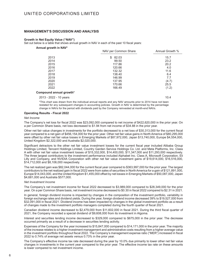#### **MANAGEMENT'S DISCUSSION AND ANALYSIS**

#### **Growth in Net Equity Value ("NAV")**

Set out below is a table that shows annual growth in NAV in each of the past 10 fiscal years:

**Annual growth in NAV\***

| NAV per Common Share |             | Annual Growth % |
|----------------------|-------------|-----------------|
| 2013                 | 82.03<br>\$ | 15.7            |
| 2014                 | 99.50       | 23.2            |
| 2015                 | 117.86      | 20.2            |
| 2016                 | 120.66      | 4.0             |
| 2017                 | 132.32      | 11.6            |
| 2018                 | 138.40      | 6.4             |
| 2019                 | 146.99      | 7.7             |
| 2020                 | 137.95      | (4.7)           |
| 2021                 | 170.66      | 25.5            |
| 2022                 | 166.49      | (1.2)           |
| naund annual arouth* |             |                 |

# **Compound annual growth\***

2013 - 2022 - 10 years 10.4

\*This chart was drawn from the individual annual reports and any NAV amounts prior to 2014 have not been restated for any subsequent changes in accounting policies. Growth in NAV is determined by the percentage change in NAVs for the period with dividends paid by the Company reinvested at month-end NAVs.

#### **Operating Results - Fiscal 2022**

#### *Net Income*

The Company's net loss for fiscal 2022 was \$23,092,000 compared to net income of \$422,620,000 in the prior year. On a per Common Share basis, net loss decreased to \$1.94 from net income of \$34.88 in the prior year.

Other net fair value changes in investments for the portfolio decreased to a net loss of \$30,313,000 for the current fiscal year compared to a net gain of \$456,154,000 for the prior year. Other net fair value gains in North America of \$80,295,000 were offset by other net fair value losses in Emerging Markets of \$87,972,000, Japan \$13,740,000, Europe \$4,554,000, United Kingdom \$2,322,000 and Australia \$2,020,000.

Significant detractors to the other net fair value investment losses for the current fiscal year included Alibaba Group Holdings Limited, Tencent Holdings Limited, Country Garden Service Holdings Co. Ltd. and Meta Platforms, Inc. Class A with other net fair value investment losses of \$15,332,000, \$14,400,000, \$11,347,000 and \$11,293,000 respectively. The three largest contributors to the investment performance included Alphabet Inc. Class A, Microsoft Corporation, Eli Lilly and Company, and NVIDIA Corporation with other net fair value investment gains of \$19,614,000, \$16,516,000, \$14,712,000 and \$8,106,000 respectively.

The net realized gain was \$82,044,000 for the current fiscal year compared to \$363,997,000 for the prior year. The largest contributors to the net realized gain in fiscal 2022 were from sales of securities in North America for a gain of \$121,891,000, Europe \$14,043,000, and the United Kingdom \$1,455,000 offset by net losses in Emerging Markets of \$50,087,000, Japan \$4,681,000 and Australia \$577,000.

#### *Net Investment Income*

The Company's net investment income for fiscal 2022 decreased to \$3,989,000 compared to \$28,349,000 for the prior year. On a per Common Share basis, net investment income decreased to \$0.30 in fiscal 2022 compared to \$2.31 in 2021.

In general, foreign dividend income is impacted by changes in the composition of the investment portfolio, variability in foreign exchange rates and dividend yields. During the year, foreign dividend income decreased 39% to \$19,527,000 from \$32,091,000 in fiscal 2021. Dividend income has been impacted by changes in the global investment portfolio as a result of changes made to the investment portfolio managers completed during the fourth quarter of fiscal 2021.

Canadian dividend income decreased to \$2,479,000 from \$11,602,000 in fiscal 2021. During the third fiscal quarter of 2021, the Company recorded a special dividend of \$9,608,000 from its investment in Algoma.

Interest and securities lending income decreased to \$329,000 compared to \$675,000 in the prior year. The decrease occurred primarily as a result of a decrease in securities lending activity.

Expenses of the Company for the year increased to \$15,847,000 compared to \$14,171,000 in the prior year. The majority of the increase relates to a higher investment management and administrative costs resulting from a higher average value in the investment portfolio throughout fiscal 2022. The Company's management expense ratio ("MER") increased in fiscal 2022 to 0.74% of average net assets versus 0.73% in the prior year.

The Company's effective income tax rate decreased during the year by 10.0% due primarily to lower other net fair value changes in investments in the current year compared to the prior year. The effective income tax rate on these amounts is lower compared to net investment income.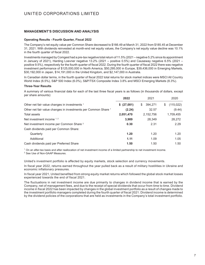#### **MANAGEMENT'S DISCUSSION AND ANALYSIS**

#### **Operating Results - Fourth Quarter, Fiscal 2022**

The Company's net equity value per Common Share decreased to \$166.49 at March 31, 2022 from \$185.45 at December 31, 2021. With dividends reinvested at month-end net equity values, the Company's net equity value decline was 10.1% in the fourth quarter of fiscal 2022.

Investments managed by Comgest had a pre-tax negative total return of 11.5% (2021 – negative 5.2% since its appointment in January of 2021), Harding Loevner negative 13.2% (2021 – positive 0.5%) and Causeway negative 6.5% (2021 – positive 9.5%), respectively for the fourth quarter of fiscal 2022. During the fourth quarter of fiscal 2022 there was negative investment performance of \$125,000,000 in North America, \$50,295,000 in Europe, \$39,436,000 in Emerging Markets, \$30,192,000 in Japan, \$14,191,000 in the United Kingdom, and \$2,147,000 in Australia.

In Canadian dollar terms, in the fourth quarter of fiscal 2022 total returns for stock market indices were MSCI All Country World Index (6.5%), S&P 500 Index (6.0%), S&P/TSX Composite Index 3.8% and MSCI Emerging Markets (8.3%).

#### **Three-Year Results**

A summary of various financial data for each of the last three fiscal years is as follows (in thousands of dollars, except per share amounts):

|                                                                | 2022        | 2021          | 2020             |
|----------------------------------------------------------------|-------------|---------------|------------------|
| Other net fair value changes in investments 1                  | \$ (27,081) | 394,271<br>\$ | (115, 022)<br>\$ |
| Other net fair value changes in investments per Common Share 1 | (2.24)      | 32.57         | (9.44)           |
| Total assets                                                   | 2,051,470   | 2,152,756     | 1,709,455        |
| Net investment income $1, 2$                                   | 3,989       | 28,349        | 28,272           |
| Net investment income per Common Share <sup>2</sup>            | 0.30        | 2.31          | 2.29             |
| Cash dividends paid per Common Share:                          |             |               |                  |
| Quarterly                                                      | 1.20        | 1.20          | 1.20             |
| Additional                                                     | 1.11        | 1.09          | 1.05             |
| Cash dividends paid per Preferred Share                        | 1.50        | 1.50          | 1.50             |

<sup>1</sup> On an after-tax basis and after reallocation of net investment income of a limited partnership to net investment income.

<sup>2</sup> See Use of Non-GAAP Measures.

United's investment portfolio is affected by equity markets, stock selection and currency movements.

In fiscal year 2022, returns earned throughout the year pulled back as a result of military hostilities in Ukraine and economic inflationary pressures.

In fiscal year 2021, United benefited from strong equity market returns which followed the global stock market losses experienced towards the end of fiscal 2021.

The fluctuations in net investment income are due primarily to changes in dividend income that is earned by the Company, net of management fees, and due to the receipt of special dividends that occur from time to time. Dividend income in fiscal 2022 has been impacted by changes in the global investment portfolio as a result of changes made to the investment portfolio managers completed during the fourth quarter of fiscal 2021. Dividend income is determined by the dividend policies of the corporations that are held as investments in the Company's total investment portfolio.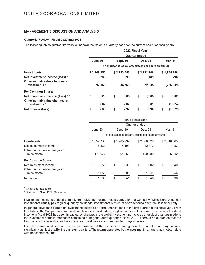#### **MANAGEMENT'S DISCUSSION AND ANALYSIS**

#### **Quarterly Review - Fiscal 2022 and 2021**

The following tables summarize various financial results on a quarterly basis for the current and prior fiscal years:

|                                                             | 2022 Fiscal Year |         |    |                 |                      |                                                     |                |            |  |
|-------------------------------------------------------------|------------------|---------|----|-----------------|----------------------|-----------------------------------------------------|----------------|------------|--|
|                                                             |                  |         |    |                 | <b>Quarter ended</b> |                                                     |                |            |  |
|                                                             |                  | June 30 |    | <b>Sept. 30</b> |                      | Dec. 31                                             | <b>Mar. 31</b> |            |  |
|                                                             |                  |         |    |                 |                      | (in thousands of dollars, except per share amounts) |                |            |  |
| <b>Investments</b>                                          | \$2,149,255      |         |    | \$2,153,753     |                      | \$2,242,748                                         | \$1,965,258    |            |  |
| Net investment income (loss) 1, 2                           |                  | 3,285   |    | 595             |                      | (189)                                               |                | 298        |  |
| Other net fair value changes in<br>investments <sup>1</sup> |                  | 92,160  |    | 34,763          |                      | 72,635                                              |                | (226, 639) |  |
| <b>Per Common Share:</b>                                    |                  |         |    |                 |                      |                                                     |                |            |  |
| Net investment income (loss) $1,2$                          | \$               | 0.26    | \$ | 0.05            | \$                   | (0.03)                                              | \$             | 0.02       |  |
| Other net fair value changes in<br>investments <sup>1</sup> |                  | 7.62    |    | 2.87            |                      | 6.01                                                |                | (18.74)    |  |
| Net income (loss)                                           | \$               | 7.88    | \$ | 2.92            | S                    | 5.98                                                | S              | (18.72)    |  |

|                                                             | 2021 Fiscal Year |             |    |             |               |                                                     |    |             |  |
|-------------------------------------------------------------|------------------|-------------|----|-------------|---------------|-----------------------------------------------------|----|-------------|--|
|                                                             |                  |             |    |             | Quarter ended |                                                     |    |             |  |
|                                                             |                  | June 30     |    | Sept. 30    |               | Dec. 31                                             |    | Mar. 31     |  |
|                                                             |                  |             |    |             |               | (in thousands of dollars, except per share amounts) |    |             |  |
| Investments                                                 |                  | \$1,852,730 |    | \$1,905,299 |               | \$2,060,823                                         |    | \$2,046,063 |  |
| Net investment income $1, 2$                                |                  | 6,531       |    | 4,493       |               | 12,372                                              |    | 4,953       |  |
| Other net fair value changes in<br>investments <sup>1</sup> |                  | 175,977     |    | 61,063      |               | 150,589                                             |    | 6,642       |  |
| Per Common Share:                                           |                  |             |    |             |               |                                                     |    |             |  |
| Net investment income $1, 2$                                | \$               | 0.53        | \$ | 0.36        | \$            | 1.02                                                | \$ | 0.40        |  |
| Other net fair value changes in<br>investments <sup>1</sup> |                  | 14.52       |    | 5.05        |               | 12.44                                               |    | 0.56        |  |
| Net income                                                  | \$               | 15.05       | \$ | 5.41        | \$            | 13.46                                               | \$ | 0.96        |  |

<sup>1</sup> On an after-tax basis.

<sup>2</sup> See Use of Non-GAAP Measures.

Investment income is derived primarily from dividend income that is earned by the Company. While North American investments usually pay regular quarterly dividends, investments outside of North America often pay less frequently.

In general, dividends earned on investments outside of North America peak in the first quarter of the fiscal year. From time to time, the Company receives additional one-time dividends arising from significant corporate transactions. Dividend income in fiscal 2022 has been impacted by changes in the global investment portfolio as a result of changes made to the investment portfolio managers completed during the fourth quarter of fiscal 2021. There is no guarantee that the Company will receive dividend income on its investments at current dividend payout levels.

Overall returns are determined by the performance of the investment managers of the portfolio and may fluctuate significantly as illustrated by the past eight quarters. The returns generated by the investment managers may not correlate with benchmark returns.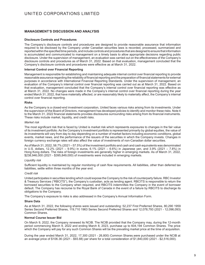#### **MANAGEMENT'S DISCUSSION AND ANALYSIS**

#### **Disclosure Controls and Procedures**

The Company's disclosure controls and procedures are designed to provide reasonable assurance that information required to be disclosed by the Company under Canadian securities laws is recorded, processed, summarized and reported within the specified time periods, and include controls and procedures that are designed to ensure that information is accumulated and communicated to management on a timely basis to allow appropriate decisions regarding public disclosure. Under the supervision of management, an evaluation was carried out on the effectiveness of the Company's disclosure controls and procedures as of March 31, 2022. Based on that evaluation, management concluded that the Company's disclosure controls and procedures were effective as at March 31, 2022.

#### **Internal Control over Financial Reporting**

Management is responsible for establishing and maintaining adequate internal control over financial reporting to provide reasonable assurance regarding the reliability of financial reporting and the preparation of financial statements for external purposes in accordance with International Financial Reporting Standards. Under the supervision of management, an evaluation of the Company's internal control over financial reporting was carried out as at March 31, 2022. Based on that evaluation, management concluded that the Company's internal control over financial reporting was effective as at March 31, 2022. No changes were made in the Company's internal control over financial reporting during the year ended March 31, 2022, that have materially affected, or are reasonably likely to materially affect, the Company's internal control over financial reporting.

#### **Risks**

As the Company is a closed-end investment corporation, United faces various risks arising from its investments. Under the supervision of the Board of Directors, management has developed policies to identify and monitor these risks. Note 4 to the March 31, 2022 financial statements provides disclosures surrounding risks arising from its financial instruments. These risks include market, liquidity, and credit risks.

#### *Market risk*

The most significant risk that is faced by United is market risk which represents exposures to changes in the fair value of its investment portfolio. As the Company's investment portfolio is represented primarily by global equities, the value of its investments will vary from day to day depending on a number of market factors including economic conditions, global events, market news, and the performance of the issuers of the securities in which the Company invests. Changes in foreign currency exchange rates will also affect the value of investments of non-Canadian dollar securities.

As of March 31, 2022, 58.7% (2021 – 57.5%) of the investment portfolio and cash and cash equivalents was denominated in U.S. dollars, 12.2% (2021 – 9.9%) in euros, 6.1% (2021 – 6.6%) in Japanese yen, and 3.9% (2021 – 7.8%) in Hong Kong dollars. The risks of foreign investments are generally higher in emerging markets. As of March 31, 2022, \$238,946,000 (2021 - \$395,849,000) of investments were included in emerging markets.

#### *Liquidity risk*

Sufficient liquidity is maintained by regular monitoring of cash flow requirements. All liabilities, other than deferred tax liabilities, settle within three months of the year end.

#### *Credit risk*

United participates in securities lending which could expose the Company to the risk of counterparty failure. RBC Investor & Treasury Services ("RBCITS"), the Company's custodian, acts as lending agent. RBCITS is responsible to return the borrowed securities to the Company when required, and RBCITS indemnifies the Company in the event of borrower default. The Company has recourse to the Royal Bank of Canada in the event of a failure by RBCITS to discharge its obligations to the Company.

The Company's exposure to risks is also addressed in the Company's Annual Information Form.

#### **Share Data**

As at March 31, 2022, the following shares were issued and outstanding: 52,237 First Preferred Shares, 80,290 1959 Series Second Preferred Shares, 119,710 1963 Series Second Preferred Shares and 12,078,793 (2021 - 12,096,093) Common Shares.

#### **Normal Course Issuer Bid**

On March 9, 2022, the Company renewed its NCIB. The NCIB provided that the Company may, during the 12-month period commencing March 9, 2022 and ending March 8, 2023, purchase up to 604,194 Common Shares. The price which the Company will pay for any such Common Shares will be the prevailing market price at the time of acquisition.

During the year ended March 31, 2022, 17,300 (2021 - 26,800) Common Shares.were purchased under the NCIB at an average price of \$106.36 (2021 - \$93.88) per share for a total consideration of \$1,840,000 (2021 - \$2,516,000).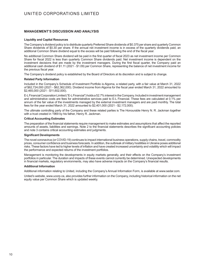#### **MANAGEMENT'S DISCUSSION AND ANALYSIS**

#### **Liquidity and Capital Resources**

The Company's dividend policy is to distribute quarterly Preferred Share dividends of \$0.375 per share and quarterly Common Share dividends of \$0.30 per share. If the annual net investment income is in excess of the quarterly dividends paid, an additional Common Share dividend equal to the excess will be paid following the end of the fiscal year.

No additional Common Share dividend will be paid in the first quarter of fiscal 2023 as net investment income per Common Share for fiscal 2022 is less than quarterly Common Share dividends paid. Net investment income is dependent on the investment decisions that are made by the investment managers. During the first fiscal quarter, the Company paid an additional cash dividend of \$1.11 (2021 - \$1.09) per Common Share, representing the balance of net investment income for the previous fiscal year.

The Company's dividend policy is established by the Board of Directors at its discretion and is subject to change.

#### **Related Party Information**

Included in the Company's Schedule of Investment Portfolio is Algoma, a related party, with a fair value at March 31, 2022 of \$62,724,000 (2021 - \$62,362,000). Dividend income from Algoma for the fiscal year ended March 31, 2022 amounted to \$2,465,000 (2021 - \$11,602,000).

E-L Financial Corporation Limited ("E-L Financial") holds a 52.7% interest in the Company. Included in investment management and administrative costs are fees for administrative services paid to E-L Financial. These fees are calculated at 0.1% per annum of the fair value of the investments managed by the external investment managers and are paid monthly. The total fees for the year ended March 31, 2022 amounted to \$2,401,000 (2021 - \$2,172,000).

The ultimate controlling party of the Company and these related parties is The Honourable Henry N. R. Jackman together with a trust created in 1969 by his father, Henry R. Jackman.

#### **Critical Accounting Estimates**

The preparation of the financial statements require management to make estimates and assumptions that affect the reported amounts of assets, liabilities and earnings. Note 2 to the financial statements describes the significant accounting policies and note 3 contains critical accounting estimates and judgments.

#### **Significant Developments**

The novel coronavirus (or COVID-19) continues to impact international business operations, supply chains, travel, commodity prices, consumer confidence and business forecasts. In addition, the outbreak of military hostilities in Ukraine poses additional risks. These factors have led to higher levels of inflation and have created increased uncertainty and volatility which will impact the performance and expected returns of the investment portfolios.

Management is monitoring the developments in equity markets generally, and their effects on the Company's investment portfolios in particular. The duration and impacts of these events cannot currently be determined. Unexpected developments in financial markets, regulatory environments, may also have adverse impacts on the Company's financial results.

#### **Additional Information**

Additional information relating to United, including the Company's Annual Information Form, is available at www.sedar.com.

United's website, www.ucorp.ca, also provides further information on the Company, including historical information on the net equity value per Common Share which is updated weekly.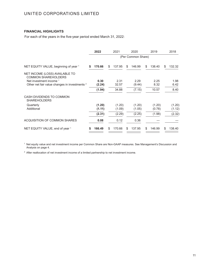#### **FINANCIAL HIGHLIGHTS**

For each of the years in the five-year period ended March 31, 2022:

|                                                              |                    | 2022   |     | 2021   |    | 2020   |    | 2019   |     | 2018   |
|--------------------------------------------------------------|--------------------|--------|-----|--------|----|--------|----|--------|-----|--------|
|                                                              | (Per Common Share) |        |     |        |    |        |    |        |     |        |
| NET EQUITY VALUE, beginning of year 1                        | S                  | 170.66 | \$  | 137.95 | \$ | 146.99 | \$ | 138.40 | \$  | 132.32 |
| NET INCOME (LOSS) AVAILABLE TO<br><b>COMMON SHAREHOLDERS</b> |                    |        |     |        |    |        |    |        |     |        |
| Net investment income <sup>1</sup>                           |                    | 0.30   |     | 2.31   |    | 2.29   |    | 2.25   |     | 1.98   |
| Other net fair value changes in investments <sup>2</sup>     |                    | (2.24) |     | 32.57  |    | (9.44) |    | 8.32   |     | 6.42   |
|                                                              |                    | (1.94) |     | 34.88  |    | (7.15) |    | 10.57  |     | 8.40   |
| CASH DIVIDENDS TO COMMON<br><b>SHAREHOLDERS</b>              |                    |        |     |        |    |        |    |        |     |        |
| Quarterly                                                    |                    | (1.20) |     | (1.20) |    | (1.20) |    | (1.20) |     | (1.20) |
| Additional                                                   |                    | (1.11) |     | (1.09) |    | (1.05) |    | (0.78) |     | (1.12) |
|                                                              |                    | (2.31) |     | (2.29) |    | (2.25) |    | (1.98) |     | (2.32) |
| ACQUISITION OF COMMON SHARES                                 |                    | 0.08   |     | 0.12   |    | 0.36   |    |        |     |        |
| NET EQUITY VALUE, end of year 1                              |                    | 166.49 | \$. | 170.66 | \$ | 137.95 | \$ | 146.99 | \$. | 138.40 |
|                                                              |                    |        |     |        |    |        |    |        |     |        |

<sup>1</sup> Net equity value and net investment income per Common Share are Non-GAAP measures. See Management's Discussion and Analysis on page 4.

<sup>2</sup> After reallocation of net investment income of a limited partnership to net investment income.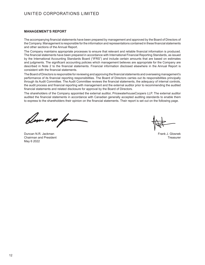#### **MANAGEMENT'S REPORT**

The accompanying financial statements have been prepared by management and approved by the Board of Directors of the Company. Management is responsible for the information and representations contained in these financial statements and other sections of the Annual Report.

The Company maintains appropriate processes to ensure that relevant and reliable financial information is produced. The financial statements have been prepared in accordance with International Financial Reporting Standards, as issued by the International Accounting Standards Board ("IFRS") and include certain amounts that are based on estimates and judgments. The significant accounting policies which management believes are appropriate for the Company are described in Note 2 to the financial statements. Financial information disclosed elsewhere in the Annual Report is consistent with the financial statements.

The Board of Directors is responsible for reviewing and approving the financial statements and overseeing management's performance of its financial reporting responsibilities. The Board of Directors carries out its responsibilities principally through its Audit Committee. The Audit Committee reviews the financial statements, the adequacy of internal controls, the audit process and financial reporting with management and the external auditor prior to recommending the audited financial statements and related disclosure for approval by the Board of Directors.

The shareholders of the Company appointed the external auditor, PricewaterhouseCoopers LLP. The external auditor audited the financial statements in accordance with Canadian generally accepted auditing standards to enable them to express to the shareholders their opinion on the financial statements. Their report is set out on the following page.

Dom w.w fr

Duncan N.R. Jackman Frank J. Glosnek **Chairman and President Chairman and President Chairman and President Chairman and President Chairman and President** May 6 2022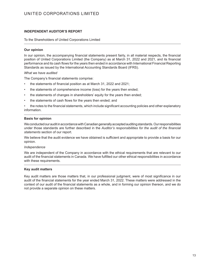#### **INDEPENDENT AUDITOR'S REPORT**

#### To the Shareholders of United Corporations Limited

#### **Our opinion**

In our opinion, the accompanying financial statements present fairly, in all material respects, the financial position of United Corporations Limited (the Company) as at March 31, 2022 and 2021, and its financial performance and its cash flows for the years then ended in accordance with International Financial Reporting Standards as issued by the International Accounting Standards Board (IFRS).

#### *What we have audited*

The Company's financial statements comprise:

- the statements of financial position as at March 31, 2022 and 2021;
- the statements of comprehensive income (loss) for the years then ended;
- the statements of changes in shareholders' equity for the years then ended;
- the statements of cash flows for the years then ended; and
- the notes to the financial statements, which include significant accounting policies and other explanatory information.

#### **Basis for opinion**

We conducted our audit in accordance with Canadian generally accepted auditing standards. Our responsibilities under those standards are further described in the *Auditor's responsibilities for the audit of the financial statements* section of our report.

We believe that the audit evidence we have obtained is sufficient and appropriate to provide a basis for our opinion.

#### *Independence*

We are independent of the Company in accordance with the ethical requirements that are relevant to our audit of the financial statements in Canada. We have fulfilled our other ethical responsibilities in accordance with these requirements.

#### **Key audit matters**

Key audit matters are those matters that, in our professional judgment, were of most significance in our audit of the financial statements for the year ended March 31, 2022. These matters were addressed in the context of our audit of the financial statements as a whole, and in forming our opinion thereon, and we do not provide a separate opinion on these matters.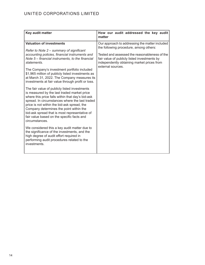| Key audit matter                                                                                                                                                                                                                                                                                                                                                                                                                                                                                                                                                                                                                                                                                                                                                                                                                                                                                                                                                                                                                   | How our audit addressed the key audit<br>matter                                                                                                                                                                                                              |
|------------------------------------------------------------------------------------------------------------------------------------------------------------------------------------------------------------------------------------------------------------------------------------------------------------------------------------------------------------------------------------------------------------------------------------------------------------------------------------------------------------------------------------------------------------------------------------------------------------------------------------------------------------------------------------------------------------------------------------------------------------------------------------------------------------------------------------------------------------------------------------------------------------------------------------------------------------------------------------------------------------------------------------|--------------------------------------------------------------------------------------------------------------------------------------------------------------------------------------------------------------------------------------------------------------|
| <b>Valuation of investments</b><br>Refer to Note 2 – summary of significant<br>accounting policies, financial instruments and<br>Note 5 – financial instruments, to the financial<br>statements.<br>The Company's investment portfolio included<br>\$1,965 million of publicly listed investments as<br>at March 31, 2022. The Company measures its<br>investments at fair value through profit or loss.<br>The fair value of publicly listed investments<br>is measured by the last traded market price<br>where this price falls within that day's bid-ask<br>spread. In circumstances where the last traded<br>price is not within the bid-ask spread, the<br>Company determines the point within the<br>bid-ask spread that is most representative of<br>fair value based on the specific facts and<br>circumstances.<br>We considered this a key audit matter due to<br>the significance of the investments, and the<br>high degree of audit effort required in<br>performing audit procedures related to the<br>investments. | Our approach to addressing the matter included<br>the following procedure, among others:<br>Tested and assessed the reasonableness of the<br>fair value of publicly listed investments by<br>independently obtaining market prices from<br>external sources. |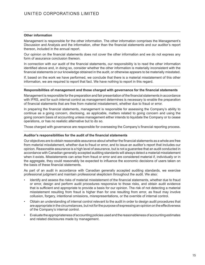#### **Other information**

Management is responsible for the other information. The other information comprises the Management's Discussion and Analysis and the information, other than the financial statements and our auditor's report thereon, included in the annual report.

Our opinion on the financial statements does not cover the other information and we do not express any form of assurance conclusion thereon.

In connection with our audit of the financial statements, our responsibility is to read the other information identified above and, in doing so, consider whether the other information is materially inconsistent with the financial statements or our knowledge obtained in the audit, or otherwise appears to be materially misstated.

If, based on the work we have performed, we conclude that there is a material misstatement of this other information, we are required to report that fact. We have nothing to report in this regard.

#### **Responsibilities of management and those charged with governance for the financial statements**

Management is responsible for the preparation and fair presentation of the financial statements in accordance with IFRS, and for such internal control as management determines is necessary to enable the preparation of financial statements that are free from material misstatement, whether due to fraud or error.

In preparing the financial statements, management is responsible for assessing the Company's ability to continue as a going concern, disclosing, as applicable, matters related to going concern and using the going concern basis of accounting unless management either intends to liquidate the Company or to cease operations, or has no realistic alternative but to do so.

Those charged with governance are responsible for overseeing the Company's financial reporting process.

#### **Auditor's responsibilities for the audit of the financial statements**

Our objectives are to obtain reasonable assurance about whether the financial statements as a whole are free from material misstatement, whether due to fraud or error, and to issue an auditor's report that includes our opinion. Reasonable assurance is a high level of assurance, but is not a guarantee that an audit conducted in accordance with Canadian generally accepted auditing standards will always detect a material misstatement when it exists. Misstatements can arise from fraud or error and are considered material if, individually or in the aggregate, they could reasonably be expected to influence the economic decisions of users taken on the basis of these financial statements.

As part of an audit in accordance with Canadian generally accepted auditing standards, we exercise professional judgment and maintain professional skepticism throughout the audit. We also:

- Identify and assess the risks of material misstatement of the financial statements, whether due to fraud or error, design and perform audit procedures responsive to those risks, and obtain audit evidence that is sufficient and appropriate to provide a basis for our opinion. The risk of not detecting a material misstatement resulting from fraud is higher than for one resulting from error, as fraud may involve collusion, forgery, intentional omissions, misrepresentations, or the override of internal control.
- Obtain an understanding of internal control relevant to the audit in order to design audit procedures that are appropriate in the circumstances, but not for the purpose of expressing an opinion on the effectiveness of the Company's internal control.
- Evaluate the appropriateness of accounting policies used and the reasonableness of accounting estimates and related disclosures made by management.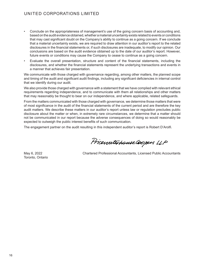- Conclude on the appropriateness of management's use of the going concern basis of accounting and, based on the audit evidence obtained, whether a material uncertainty exists related to events or conditions that may cast significant doubt on the Company's ability to continue as a going concern. If we conclude that a material uncertainty exists, we are required to draw attention in our auditor's report to the related disclosures in the financial statements or, if such disclosures are inadequate, to modify our opinion. Our conclusions are based on the audit evidence obtained up to the date of our auditor's report. However, future events or conditions may cause the Company to cease to continue as a going concern.
- Evaluate the overall presentation, structure and content of the financial statements, including the disclosures, and whether the financial statements represent the underlying transactions and events in a manner that achieves fair presentation.

We communicate with those charged with governance regarding, among other matters, the planned scope and timing of the audit and significant audit findings, including any significant deficiencies in internal control that we identify during our audit.

We also provide those charged with governance with a statement that we have complied with relevant ethical requirements regarding independence, and to communicate with them all relationships and other matters that may reasonably be thought to bear on our independence, and where applicable, related safeguards.

From the matters communicated with those charged with governance, we determine those matters that were of most significance in the audit of the financial statements of the current period and are therefore the key audit matters. We describe these matters in our auditor's report unless law or regulation precludes public disclosure about the matter or when, in extremely rare circumstances, we determine that a matter should not be communicated in our report because the adverse consequences of doing so would reasonably be expected to outweigh the public interest benefits of such communication.

The engagement partner on the audit resulting in this independent auditor's report is Robert D'Arolfi.

Pricewaterhouse Coopers LLP

Toronto, Ontario

May 6, 2022 Chartered Professional Accountants, Licensed Public Accountants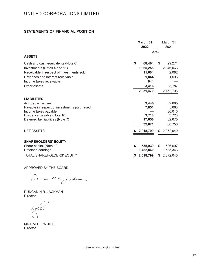# **STATEMENTS OF FINANCIAL POSITION**

|                                             | March 31<br>2022 | March 31<br>2021 |
|---------------------------------------------|------------------|------------------|
| <b>ASSETS</b>                               |                  | (000's)          |
| Cash and cash equivalents (Note 6)          | \$<br>68,404     | \$<br>99,271     |
| Investments (Notes 4 and 11)                | 1,965,258        | 2,046,063        |
| Receivable in respect of investments sold   | 11,604           | 2,082            |
| Dividends and interest receivable           | 1,844            | 1,593            |
| Income taxes receivable                     | 944              |                  |
| Other assets                                | 3,416            | 3,787            |
|                                             | 2,051,470        | 2,152,796        |
| <b>LIABILITIES</b>                          |                  |                  |
| Accrued expenses                            | 3,446            | 2,685            |
| Payable in respect of investments purchased | 7,851            | 5,663            |
| Income taxes payable                        |                  | 36,010           |
| Dividends payable (Note 10)                 | 3,718            | 3,723            |
| Deferred tax liabilities (Note 7)           | 17,656           | 32,675           |
|                                             | 32,671           | 80,756           |
| <b>NET ASSETS</b>                           | 2,018,799        | 2,072,040<br>\$  |
| <b>SHAREHOLDERS' EQUITY</b>                 |                  |                  |
| Share capital (Note 10)                     | \$<br>535,939    | \$<br>536,697    |
| Retained earnings                           | 1,482,860        | 1,535,343        |
| TOTAL SHAREHOLDERS' EQUITY                  | 2,018,799        | 2,072,040<br>\$  |

APPROVED BY THE BOARD

Duran N.R. Jackson

DUNCAN N.R. JACKMAN Director

MICHAEL J. WHITE **Director**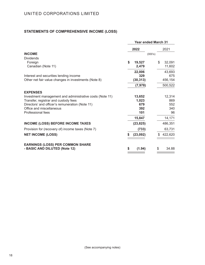# **STATEMENTS OF COMPREHENSIVE INCOME (LOSS)**

|                                                          | <b>Year ended March 31</b> |               |  |
|----------------------------------------------------------|----------------------------|---------------|--|
|                                                          | 2022                       | 2021          |  |
| <b>INCOME</b>                                            |                            | (000's)       |  |
| <b>Dividends</b>                                         |                            |               |  |
| Foreign                                                  | \$<br>19,527               | \$<br>32,091  |  |
| Canadian (Note 11)                                       | 2,479                      | 11,602        |  |
|                                                          | 22,006                     | 43,693        |  |
| Interest and securities lending income                   | 329                        | 675           |  |
| Other net fair value changes in investments (Note 8)     | (30, 313)                  | 456,154       |  |
|                                                          | (7, 978)                   | 500,522       |  |
| <b>EXPENSES</b>                                          |                            |               |  |
| Investment management and administrative costs (Note 11) | 13,652                     | 12,314        |  |
| Transfer, registrar and custody fees                     | 1,023                      | 869           |  |
| Directors' and officer's remuneration (Note 11)          | 679                        | 552           |  |
| Office and miscellaneous                                 | 392                        | 340           |  |
| <b>Professional fees</b>                                 | 101                        | 96            |  |
|                                                          | 15,847                     | 14,171        |  |
| <b>INCOME (LOSS) BEFORE INCOME TAXES</b>                 | (23, 825)                  | 486,351       |  |
| Provision for (recovery of) income taxes (Note 7)        | (733)                      | 63,731        |  |
| <b>NET INCOME (LOSS)</b>                                 | (23,092)<br>S              | 422,620<br>\$ |  |
| <b>EARNINGS (LOSS) PER COMMON SHARE</b>                  |                            |               |  |
| - BASIC AND DILUTED (Note 12)                            | \$<br>(1.94)               | \$<br>34.88   |  |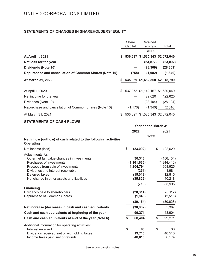# **STATEMENTS OF CHANGES IN SHAREHOLDERS' EQUITY**

|                                                        | Share<br>Capital | Retained<br>Earnings               | Total     |
|--------------------------------------------------------|------------------|------------------------------------|-----------|
|                                                        |                  | (000's)                            |           |
| At April 1, 2021                                       |                  | \$ 536,697 \$1,535,343 \$2,072,040 |           |
| Net loss for the year                                  |                  | (23,092)                           | (23,092)  |
| Dividends (Note 10)                                    |                  | (28, 309)                          | (28, 309) |
| Repurchase and cancellation of Common Shares (Note 10) | (758)            | (1,082)                            | (1, 840)  |
| At March 31, 2022                                      |                  | 535,939 \$1,482,860 \$2,018,799    |           |
| At April 1, 2020                                       | \$               | 537,873 \$1,142,167 \$1,680,040    |           |
| Net income for the year                                |                  | 422,620                            | 422,620   |
| Dividends (Note 10)                                    |                  | (28, 104)                          | (28, 104) |
| Repurchase and cancellation of Common Shares (Note 10) | (1, 176)         | (1,340)                            | (2,516)   |
| At March 31, 2021                                      |                  | 536,697 \$1,535,343 \$2,072,040    |           |

**Year ended March 31**

# **STATEMENTS OF CASH FLOWS**

|                                                                                       | 2022            |         | 2021          |
|---------------------------------------------------------------------------------------|-----------------|---------|---------------|
|                                                                                       |                 | (000's) |               |
| Net inflow (outflow) of cash related to the following activities:<br><b>Operating</b> |                 |         |               |
| Net income (loss)                                                                     | \$<br>(23, 092) |         | \$<br>422,620 |
| Adjustments for:                                                                      |                 |         |               |
| Other net fair value changes in investments                                           | 30,313          |         | (456, 154)    |
| Purchases of investments                                                              | (1, 161, 636)   |         | (1,844,410)   |
| Proceeds from sale of investments                                                     | 1,204,794       |         | 1,908,925     |
| Dividends and interest receivable                                                     | (251)           |         | 1,981         |
| Deferred taxes                                                                        | (15,019)        |         | 12,815        |
| Net change in other assets and liabilities                                            | (35, 822)       |         | 40,218        |
|                                                                                       | (713)           |         | 85,995        |
| <b>Financing</b>                                                                      |                 |         |               |
| Dividends paid to shareholders                                                        | (28, 314)       |         | (28, 112)     |
| Repurchase of Common Shares                                                           | (1, 840)        |         | (2, 516)      |
|                                                                                       | (30, 154)       |         | (30, 628)     |
| Net increase (decrease) in cash and cash equivalents                                  | (30, 867)       |         | 55,367        |
| Cash and cash equivalents at beginning of the year                                    | 99,271          |         | 43,904        |
| Cash and cash equivalents at end of the year (Note 6)                                 | \$<br>68,404    |         | \$<br>99,271  |
| Additional information for operating activities:                                      |                 |         |               |
| Interest received                                                                     | \$<br>80        |         | \$<br>36      |
| Dividends received, net of withholding taxes                                          | 19,710          |         | 40,510        |
| Income taxes paid, net of refunds                                                     | 48,810          |         | 6,174         |

(See accompanying notes)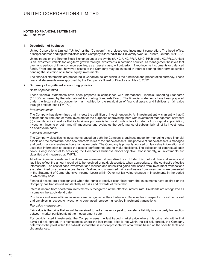#### **NOTES TO FINANCIAL STATEMENTS March 31, 2022**

#### **1. Description of business**

United Corporations Limited ("United" or the "Company") is a closed-end investment corporation. The head office, principal address and registered office of the Company is located at 165 University Avenue, Toronto, Ontario, M5H 3B8.

United trades on the Toronto Stock Exchange under the symbols UNC, UNC.PR.A, UNC. PR.B and UNC.PR.C. United is an investment vehicle for long-term growth through investments in common equities, as management believes that over long periods of time, common equities, as an asset class, will outperform fixed-income instruments or balanced funds. From time to time, however, assets of the Company may be invested in interest-bearing short-term securities pending the selection of suitable equity investments.

The financial statements are presented in Canadian dollars which is the functional and presentation currency. These financial statements were approved by the Company's Board of Directors on May 5, 2022.

#### **2. Summary of significant accounting policies**

#### *Basis of presentation*

These financial statements have been prepared in compliance with International Financial Reporting Standards ("IFRS"), as issued by the International Accounting Standards Board. The financial statements have been prepared under the historical cost convention, as modified by the revaluation of financial assets and liabilities at fair value through profit or loss ("FVTPL").

#### *Investment entity*

The Company has determined that it meets the definition of investment entity. An investment entity is an entity that (i) obtains funds from one or more investors for the purposes of providing them with investment management services; (ii) commits to its investors that its business purpose is to invest funds solely for returns from capital appreciation, investment income or both; and (iii) measures and evaluates the performance of substantially all of its investments on a fair value basis.

#### *Financial instruments*

The Company classifies its investments based on both the Company's business model for managing those financial assets and the contractual cash flow characteristics of the financial assets. The portfolio of financial assets is managed and performance is evaluated on a fair value basis. The Company is primarily focused on fair value information and uses that information to assess the assets' performance and to make decisions. The collection of contractual cash flows is only incidental to achieving the Company's business model objective. Consequently, all investments are classified and measured at FVPTL.

All other financial assets and liabilities are measured at amortized cost. Under this method, financial assets and liabilities reflect the amount required to be received or paid, discounted, when appropriate, at the contract's effective interest rate. The cost of each investment and realized and unrealized gains and losses from investment transactions are determined on an average cost basis. Realized and unrealized gains and losses from investments are presented in the Statement of Comprehensive Income (Loss) within Other net fair value changes in investments in the period in which they arise.

Financial assets are derecognized when the rights to receive cash flows from the investments have expired or the Company has transferred substantially all risks and rewards of ownership.

Interest income from short-term investments is recognized at the effective interest rate. Dividends are recognized as income on the ex-dividend date.

Purchases and sales of financial assets are recognized at their trade date. Receivables in respect to investments sold and payables in respect to investments purchased represent unsettled investment transactions.

#### *Fair value measurement*

Fair value is the price that would be received to sell an asset or paid to transfer a liability in an orderly transaction between market participants at the measurement date.

For publicly listed investments, the Company uses the last traded market price where this price falls within that day's bid-ask spread. In circumstances where the last traded price is not within the bid-ask spread, the Company determines the point within the bid-ask spread that is most representative of fair value based on the specific facts and circumstances.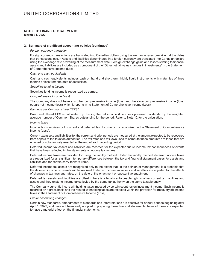#### **NOTES TO FINANCIAL STATEMENTS March 31, 2022**

#### **2. Summary of significant accounting policies (continued)**

#### *Foreign currency translation*

Foreign currency transactions are translated into Canadian dollars using the exchange rates prevailing at the dates that transactions occur. Assets and liabilities denominated in a foreign currency are translated into Canadian dollars using the exchange rate prevailing at the measurement date. Foreign exchange gains and losses relating to financial assets and liabilities are included as a component of the "Other net fair value changes in investments" in the Statement of Comprehensive Income (Loss).

#### *Cash and cash equivalents*

Cash and cash equivalents includes cash on hand and short term, highly liquid instruments with maturities of three months or less from the date of acquisition.

#### *Securities lending income*

Securities lending income is recognized as earned.

#### *Comprehensive income (loss)*

The Company does not have any other comprehensive income (loss) and therefore comprehensive income (loss) equals net income (loss) which it reports in its Statement of Comprehensive Income (Loss).

#### *Earnings per Common share ("EPS")*

Basic and diluted EPS is calculated by dividing the net income (loss), less preferred dividends, by the weighted average number of Common Shares outstanding for the period. Refer to Note 12 for the calculation.

#### *Income taxes*

Income tax comprises both current and deferred tax. Income tax is recognized in the Statement of Comprehensive Income (Loss).

Current tax assets and liabilities for the current and prior periods are measured at the amount expected to be recovered from or paid to the taxation authorities. The tax rates and tax laws used to compute these amounts are those that are enacted or substantively enacted at the end of each reporting period.

Deferred income tax assets and liabilities are recorded for the expected future income tax consequences of events that have been reflected in the statements or income tax returns.

Deferred income taxes are provided for using the liability method. Under the liability method, deferred income taxes are recognized for all significant temporary differences between the tax and financial statement bases for assets and liabilities and for certain carry-forward items.

Deferred income tax assets are recognized only to the extent that, in the opinion of management, it is probable that the deferred income tax assets will be realized. Deferred income tax assets and liabilities are adjusted for the effects of changes in tax laws and rates, on the date of the enactment or substantive enactment.

Deferred tax assets and liabilities are offset if there is a legally enforceable right to offset current tax liabilities and assets and they relate to income taxes levied by the same tax authority on the same taxable entity.

The Company currently incurs withholding taxes imposed by certain countries on investment income. Such income is recorded on a gross basis and the related withholding taxes are reflected within the provision for (recovery of) income taxes in the Statement of Comprehensive Income (Loss).

#### *Future accounting changes*

Certain new standards, amendments to standards and interpretations are effective for annual periods beginning after April 1, 2022, and have not been early adopted in preparing these financial statements. None of these are expected to have a material effect on the financial statements.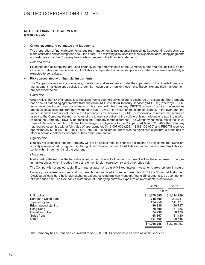#### **NOTES TO FINANCIAL STATEMENTS March 31, 2022**

#### **3. Critical accounting estimates and judgments**

The preparation of financial statements requires management to use judgment in applying its accounting policies and to make estimates and assumptions about the future. The following discusses the most significant accounting judgments and estimates that the Company has made in preparing the financial statements:

#### *Deferred taxes*

Estimates and assumptions are used primarily in the determination of the Company's deferred tax liabilities, as the income tax rates used in determining the liability is dependent on an assumption as to when a deferred tax liability is expected to be realized.

#### **4. Risks associated with financial instruments**

The Company faces various risks arising from its financial instruments. Under the supervision of the Board of Directors, management has developed policies to identify, measure and monitor these risks. These risks and their management are described below:

#### *Credit risk*

Credit risk is the risk of financial loss resulting from a counterparty's failure to discharge an obligation. The Company has a securities lending agreement with its custodian, RBC Investor & Treasury Services ("RBCITS"), whereby RBCITS lends securities to borrowers for a fee, which is shared with the Company. RBCITS receives fixed income securities and equities as collateral from borrowers, of at least 105% of the value of the securities loaned. In the event that the loaned securities are not returned to the Company by the borrower, RBCITS is responsible to restore the securities or pay to the Company the market value of the loaned securities. If the collateral is not adequate to pay the market value to the Company, RBCITS indemnifies the Company for the difference. The Company has recourse to the Royal Bank of Canada should RBCITS fail to discharge its obligations to the Company. At March 31, 2022 the Company had loaned securities with a fair value of approximately \$115,007,000 (2021 - \$188,100,000) and RBCITS received approximately \$120,757,000 (2021 - \$197,506,000) in collateral. There was no significant exposure to credit risk to other receivable balances because of their short-term nature.

#### *Liquidity risk*

Liquidity risk is the risk that the Company will not be able to meet its financial obligations as they come due. Sufficient liquidity is maintained by regular monitoring of cash flow requirements. All liabilities, other than deferred tax liabilities, settle within three months of the year end.

#### *Market risk*

Market risk is the risk that the fair value or future cash flows of a financial instrument will fluctuate because of changes in market prices which includes interest rate risk, foreign currency risk and other price risk.

The Company is not subject to significant interest rate risk, as its only fixed-interest investments are short term in nature.

Currency risk arises from financial instruments denominated in foreign currencies. IFRS 7 - "Financial Instrument Disclosures" considers the foreign exchange exposures relating to non-monetary financial instruments to be a component of other price risk. The Company's distribution of underlying currency exposure of investments is as follows:

|                        | 2022        | 2021        |  |  |
|------------------------|-------------|-------------|--|--|
|                        | (000's)     |             |  |  |
| U.S. dollar            | \$1,179,605 | \$1,214,729 |  |  |
| European Union euro    | 248,400     | 212,211     |  |  |
| Japanese yen           | 124,258     | 141,137     |  |  |
| British pound sterling | 90.330      | 49,797      |  |  |
| Hong Kong              | 78,300      | 167,186     |  |  |
| Canadian dollar        | 74.298      | 70,178      |  |  |
| Swiss franc            | 68,307      | 81,180      |  |  |
| Other                  | 101,760     | 109,645     |  |  |
|                        | \$1,965,258 | \$2,046,063 |  |  |

The Company has a Canadian equivalent of \$13,338,000 US dollars held as cash as of the year end.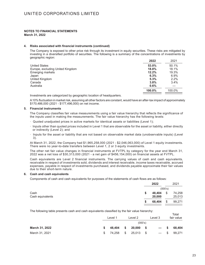#### **NOTES TO FINANCIAL STATEMENTS March 31, 2022**

#### **4. Risks associated with financial instruments (continued)**

The Company is exposed to other price risk through its investment in equity securities. These risks are mitigated by investing in a diversified portfolio of securities. The following is a summary of the concentrations of investments by geographic region:

|                                  | 2022   | 2021    |
|----------------------------------|--------|---------|
| <b>United States</b>             | 53.0%  | 50.1%   |
| Europe, excluding United Kingdom | 18.8%  | 18.1%   |
| Emerging markets                 | 12.2%  | 19.3%   |
| Japan                            | 6.3%   | 6.9%    |
| United Kingdom                   | 5.3%   | $2.2\%$ |
| Canada                           | 3.8%   | 3.4%    |
| Australia                        | 0.6%   |         |
|                                  | 100.0% | 100.0%  |

Investments are categorized by geographic location of headquarters.

A 10% fluctuation in market risk, assuming all other factors are constant, would have an after-tax impact of approximately \$170,486,000 (2021 - \$177,496,000) on net income.

#### **5. Financial instruments**

The Company classifies fair value measurements using a fair value hierarchy that reflects the significance of the inputs used in making the measurements. The fair value hierarchy has the following levels:

- · Quoted unadjusted prices in active markets for identical assets or liabilities (Level 1);
- · Inputs other than quoted prices included in Level 1 that are observable for the asset or liability, either directly or indirectly (Level 2); and
- · Inputs for the asset or liability that are not based on observable market data (unobservable inputs) (Level 3).

At March 31, 2022, the Company had \$1,965,258,000 (2021 - \$2,046,063,000) of Level 1 equity investments. There were no year-to-date transfers between Level 1, 2 or 3 equity investments.

The other net fair value changes in financial instruments at FVTPL by category for the year end March 31, 2022 was a net loss of \$30,313,000 (2021 - a net gain of \$456,154,000) on financial assets at FVTPL.

Cash equivalents are Level 2 financial instruments. The carrying values of cash and cash equivalents, receivable in respect of investments sold, dividends and interest receivable, income taxes receivable, accrued expenses, payable in respect of investments purchased, and dividends payable approximate their fair values due to their short-term nature.

#### **6. Cash and cash equivalents**

Components of cash and cash equivalents for purposes of the statements of cash flows are as follows:

|                  |    | 2022   |         | 2021   |  |
|------------------|----|--------|---------|--------|--|
|                  |    |        | (000's) |        |  |
| Cash             | \$ | 48,404 | \$      | 74,258 |  |
| Cash equivalents |    | 20,000 |         | 25,013 |  |
|                  | ۰D | 68,404 | \$      | 99,271 |  |
|                  |    |        |         |        |  |

The following table presents cash and cash equivalents classified by the fair value hierarchy:

|                       |     | Level 1 |           | Level 2 |            | Level 3 |    | Total<br>fair value |
|-----------------------|-----|---------|-----------|---------|------------|---------|----|---------------------|
|                       |     |         |           | (000's) |            |         |    |                     |
| <b>March 31, 2022</b> |     | 48.404  | $\sim$ \$ | 20.000  | S          | $\sim$  | S. | 68.404              |
| March 31, 2021        | \$. | 74.258  | - \$      | 25,013  | $^{\circ}$ |         | S. | 99.271              |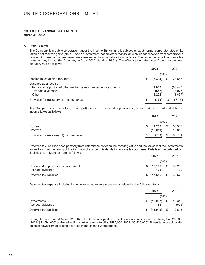#### **NOTES TO FINANCIAL STATEMENTS March 31, 2022**

#### **7. Income taxes**

The Company is a public corporation under the Income Tax Act and is subject to tax at normal corporate rates on its taxable net realized gains (Note 9) and on investment income other than taxable dividends received from corporations resident in Canada. Income taxes are assessed on income before income taxes. The current enacted corporate tax rates as they impact the Company in fiscal 2022 stand at 26.5%. The effective tax rate varies from the combined statutory rate as follows:

|                                                                                                                               |         | 2022                    |   | 2021                            |
|-------------------------------------------------------------------------------------------------------------------------------|---------|-------------------------|---|---------------------------------|
|                                                                                                                               | (000's) |                         |   |                                 |
| Income taxes at statutory rate                                                                                                |         | (6.314)                 | S | 128.883                         |
| Variance as a result of:<br>Non-taxable portion of other net fair value changes in investments<br>Tax-paid dividends<br>Other |         | 4.016<br>(657)<br>2.222 |   | (60, 440)<br>(3,075)<br>(1,637) |
| Provision for (recovery of) income taxes                                                                                      |         | (733)                   |   | 63,731                          |

The Company's provision for (recovery of) income taxes includes provisions (recoveries) for current and deferred income taxes as follows:

|                                          | 2022               |         | 2021             |
|------------------------------------------|--------------------|---------|------------------|
|                                          |                    | (000's) |                  |
| Current<br>Deferred                      | 14.286<br>(15,019) |         | 50,916<br>12,815 |
| Provision for (recovery of) income taxes | (733)              |         | 63,731           |

Deferred tax liabilities arise primarily from differences between the carrying value and the tax cost of the investments as well as from the timing of the inclusion of accrued dividends for income tax purposes. Details of the deferred tax liabilities as at March 31 are as follows:

|                                                             | 2022          |         | 2021          |
|-------------------------------------------------------------|---------------|---------|---------------|
|                                                             |               | (000's) |               |
| Unrealized appreciation of investments<br>Accrued dividends | 17.166<br>490 | \$      | 32,253<br>422 |
| Deferred tax liabilities                                    | 17.656        |         | 32,675        |

Deferred tax expense included in net income represents movements related to the following items:

|                                  |    | 2022           |         | 2021            |  |
|----------------------------------|----|----------------|---------|-----------------|--|
|                                  |    |                | (000's) |                 |  |
| Investments<br>Accrued dividends | S. | (15,087)<br>68 | \$      | 13,340<br>(525) |  |
| Deferred tax liabilities         | S. | (15,019)       |         | 12,815          |  |

During the year ended March 31, 2022, the Company paid tax instalments and assessments totaling \$49,386,000 (2021- \$11,694,000) and received income tax refunds totaling \$576,000 (2021 - \$5,520,000). These items are classified as cash flows from operating activities in the cash flow statement.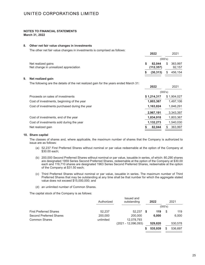#### **NOTES TO FINANCIAL STATEMENTS March 31, 2022**

#### **8. Other net fair value changes in investments**

The other net fair value changes in investments is comprised as follows:

|    |                                                                                      | 2022 |                     | 2021    |                   |
|----|--------------------------------------------------------------------------------------|------|---------------------|---------|-------------------|
|    |                                                                                      |      |                     | (000's) |                   |
|    | Net realized gains<br>Net change in unrealized appreciation                          | \$   | 82.044<br>(112,357) | \$.     | 363,997<br>92,157 |
|    |                                                                                      |      | (30, 313)           | S       | 456,154           |
| 9. | Net realized gain                                                                    |      |                     |         |                   |
|    | The following are the details of the net realized gain for the years ended March 31: |      | 2022                |         | 2021              |
|    |                                                                                      |      |                     | (000's) |                   |
|    | Proceeds on sales of investments                                                     |      | \$1,214,317         |         | \$1,904,027       |
|    | Cost of investments, beginning of the year                                           |      | 1,803,367           |         | 1,497,106         |
|    | Cost of investments purchased during the year                                        |      | 1,163,824           |         | 1,846,291         |
|    |                                                                                      |      | 2,967,191           |         | 3,343,397         |
|    | Cost of investments, end of the year                                                 |      | 1,834,918           |         | 1,803,367         |
|    | Cost of investments sold during the year                                             |      | 1,132,273           |         | 1,540,030         |
|    | Net realized gain                                                                    |      | 82,044              | S       | 363,997           |
|    |                                                                                      |      |                     |         |                   |

#### **10. Share capital**

The classes of shares and, where applicable, the maximum number of shares that the Company is authorized to issue are as follows:

- (a) 52,237 First Preferred Shares without nominal or par value redeemable at the option of the Company at \$30.00 each;
- (b) 200,000 Second Preferred Shares without nominal or par value, issuable in series, of which: 80,290 shares are designated 1959 Series Second Preferred Shares, redeemable at the option of the Company at \$30.00 each and 119,710 shares are designated 1963 Series Second Preferred Shares, redeemable at the option of the Company at \$31.50 each;
- (c) Third Preferred Shares without nominal or par value, issuable in series. The maximum number of Third Preferred Shares that may be outstanding at any time shall be that number for which the aggregate stated value does not exceed \$15,000,000; and
- (d) an unlimited number of Common Shares.

The capital stock of the Company is as follows:

|                                | Authorized | Issued and<br>outstanding | 2022 |         | 2021    |         |  |
|--------------------------------|------------|---------------------------|------|---------|---------|---------|--|
|                                |            |                           |      |         | (000's) |         |  |
| <b>First Preferred Shares</b>  | 52,237     | 52,237                    |      | 119     | S       | 119     |  |
| <b>Second Preferred Shares</b> | 200,000    | 200,000                   |      | 6.000   |         | 6,000   |  |
| <b>Common Shares</b>           | unlimited  | 12,078,793                |      |         |         |         |  |
|                                |            | $(2021 - 12,096,093)$     |      | 529,820 |         | 530,578 |  |
|                                |            |                           | S    | 535,939 | S       | 536,697 |  |
|                                |            |                           |      |         |         |         |  |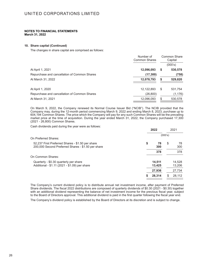#### **NOTES TO FINANCIAL STATEMENTS March 31, 2022**

#### **10. Share capital (Continued)**

The changes in share capital are comprised as follows:

|                                              | Number of<br><b>Common Shares</b> |    | Common Share<br>Capital |  |
|----------------------------------------------|-----------------------------------|----|-------------------------|--|
|                                              |                                   |    | (000's)                 |  |
| At April 1, 2021                             | 12,096,093                        | \$ | 530,578                 |  |
| Repurchase and cancellation of Common Shares | (17, 300)                         |    |                         |  |
| At March 31, 2022                            | 12,078,793                        | S  | 529,820                 |  |
| At April 1, 2020                             | 12,122,893                        | \$ | 531,754                 |  |
| Repurchase and cancellation of Common Shares | (26, 800)                         |    | (1, 176)                |  |
| At March 31, 2021                            | 12,096,093                        | \$ | 530,578                 |  |

On March 9, 2022, the Company renewed its Normal Course Issuer Bid ("NCIB"). The NCIB provided that the Company may, during the 12-month period commencing March 9, 2022 and ending March 8, 2023, purchase up to 604,194 Common Shares. The price which the Company will pay for any such Common Shares will be the prevailing market price at the time of acquisition. During the year ended March 31, 2022, the Company purchased 17,300 (2021 - 26,800) Common Shares.

Cash dividends paid during the year were as follows:

|                                                                                                        |    | 2022             |         | 2021             |
|--------------------------------------------------------------------------------------------------------|----|------------------|---------|------------------|
| On Preferred Shares:                                                                                   |    |                  | (000's) |                  |
| 52,237 First Preferred Shares - \$1.50 per share<br>200,000 Second Preferred Shares - \$1.50 per share | \$ | 78<br>300        | S       | 78<br>300        |
| On Common Shares:                                                                                      |    | 378              |         | 378              |
| Quarterly - \$0.30 quarterly per share<br>Additional - \$1.11 (2021 - \$1.09) per share                |    | 14.511<br>13,425 |         | 14,528<br>13,206 |
|                                                                                                        |    | 27,936           |         | 27,734           |
|                                                                                                        | S  | 28,314           |         | 28,112           |

The Company's current dividend policy is to distribute annual net investment income, after payment of Preferred Share dividends. The fiscal 2022 distributions are composed of quarterly dividends of \$0.30 (2021 - \$0.30) together with an additional dividend representing the balance of net investment income for the previous fiscal year, subject to the Board of Directors approval. This additional dividend is paid in the first quarter following the fiscal year end.

The Company's dividend policy is established by the Board of Directors at its discretion and is subject to change.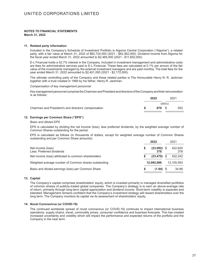#### **NOTES TO FINANCIAL STATEMENTS March 31, 2022**

#### **11. Related party information**

Included in the Company's Schedule of Investment Portfolio is Algoma Central Corporation ("Algoma"), a related party, with a fair value at March 31, 2022 of \$62,724,000 (2021 - \$62,362,000). Dividend income from Algoma for the fiscal year ended March 31, 2022 amounted to \$2,465,000 (2021 - \$11,602,000).

E-L Financial holds a 52.7% interest in the Company. Included in investment management and administrative costs are fees for administrative services paid to E-L Financial. These fees are calculated at 0.1% per annum of the fair value of the investments managed by the external investment managers and are paid monthly. The total fees for the year ended March 31, 2022 amounted to \$2,401,000 (2021 - \$2,172,000).

The ultimate controlling party of the Company and these related parties is The Honourable Henry N. R. Jackman together with a trust created in 1969 by his father, Henry R. Jackman.

#### *Compensation of key management personnel*

Key management personnel comprise the Chairman and President and directors of the Company and their remuneration is as follows:

|                                                      | 2022 |        |         | 2021 |
|------------------------------------------------------|------|--------|---------|------|
|                                                      |      |        | (000's) |      |
| Chairman and President's and directors' compensation |      | 679 \$ |         | 552  |
|                                                      |      |        |         |      |

#### **12. Earnings per Common Share ("EPS")**

#### *Basic and diluted EPS*

EPS is calculated by dividing the net income (loss), less preferred dividends, by the weighted average number of Common Shares outstanding for the period.

EPS is calculated as follows (in thousands of dollars, except for weighted average number of Common Shares outstanding and per Common Share amounts):

|                                                      | 2022            | 2021           |
|------------------------------------------------------|-----------------|----------------|
| Net income (loss)<br>Less: Preferred dividends       | (23,092)<br>378 | 422,620<br>378 |
| Net income (loss) attributed to common shareholders  | (23, 470)       | 422,242        |
| Weighted average number of Common shares outstanding | 12,092,086      | 12,105,593     |
| Basic and diluted earnings (loss) per Common Share   | $(1.94)$ \$     | 34.88          |
|                                                      |                 |                |

#### **13. Capital**

The Company's capital comprises shareholders' equity, which is invested primarily in managed diversified portfolios of common shares of publicly-traded global companies. The Company's strategy is to earn an above-average rate of return, primarily through long-term capital appreciation and dividend income. Short-term volatility is expected and tolerated. Management remains confident that the Company's investment strategy will reward shareholders over the long term. The Company monitors its capital via its assessment of shareholders' equity.

#### **14. Novel Coronavirus (or COVID-19)**

The continued worldwide spread of novel coronavirus (or COVID-19) continues to impact international business operations, supply chains, travel, commodity prices, consumer confidence and business forecasts. This has created increased uncertainty and volatility which will impact the performance and expected returns of the portfolio and the Company in the near term.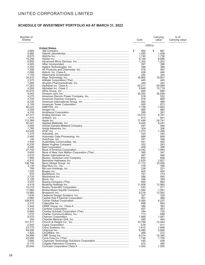| Number of<br><b>Shares</b> |                                                 |                | Carrying<br>value | % of<br>Carrying value |  |
|----------------------------|-------------------------------------------------|----------------|-------------------|------------------------|--|
|                            |                                                 |                | (000's)           |                        |  |
| 3,660                      | <b>United States</b>                            | 682<br>\$      | \$<br>681         |                        |  |
| 9,860                      |                                                 | 1,450          | 1,458             |                        |  |
| 8,670                      | AbbVie Inc……………………………………………………………………………………      | 1,740          | 1,756             |                        |  |
| 15,256                     |                                                 | 9,149          | 8,686             |                        |  |
| 8,800<br>4,920             |                                                 | 1,302<br>397   | 1,202<br>396      |                        |  |
| 2,350                      |                                                 | 399            | 389               |                        |  |
| 1,590                      |                                                 | 478            | 497               |                        |  |
| 2,080                      | Airbnb, Inc. Class A……………………………………………………………………… | 436            | 446               |                        |  |
| 1.100<br>34,519            |                                                 | 292            | 304               |                        |  |
| 2,570                      |                                                 | 16,865<br>445  | 18,807<br>445     |                        |  |
| 1.680                      |                                                 | 344            | 343               |                        |  |
| 17,263                     |                                                 | 35,217         | 59,999            |                        |  |
| 4,504                      |                                                 | 9,849          | 15,719            |                        |  |
| 10,570<br>9,043            |                                                 | 695<br>35,553  | 690<br>36,838     |                        |  |
| 4,270                      |                                                 | 518            | 532               |                        |  |
| 3,720                      |                                                 | 878            | 869               |                        |  |
| 6,230                      |                                                 | 492            | 489               |                        |  |
| 3,100                      |                                                 | 905            | 973               |                        |  |
| 46,223<br>3,250            |                                                 | 7,156<br>965   | 7,693<br>982      |                        |  |
| 4,150                      |                                                 | 390            | 391               |                        |  |
| 47,317                     |                                                 | 10,512         | 9,767             |                        |  |
| 1,370                      |                                                 | 813            | 841               |                        |  |
| 113,389                    |                                                 | 17,448         | 24,741            |                        |  |
| 50,341<br>3,950            |                                                 | 9,020<br>447   | 8,291<br>446      |                        |  |
| 1,760                      |                                                 | 304            | 306               |                        |  |
| 43,540                     |                                                 | 1,273          | 1,286             |                        |  |
| 1,270                      |                                                 | 333            | 340               |                        |  |
| 2,460<br>140               |                                                 | 666<br>351     | 699               |                        |  |
| 1,450                      |                                                 | 441            | 358<br>450        |                        |  |
| 6,230                      |                                                 | 302            | 283               |                        |  |
| 3,540                      |                                                 | 409            | 398               |                        |  |
| 37,750                     |                                                 | 2,042          | 1,944             |                        |  |
| 5,600<br>4.810             |                                                 | 365<br>467     | 347<br>466        |                        |  |
| 1,980                      |                                                 | 653            | 658               |                        |  |
| 6,410                      |                                                 | 2,825          | 2,827             |                        |  |
| 138,756                    |                                                 | 11,112         | 10,050            |                        |  |
| 3,130                      |                                                 | 378            | 356               |                        |  |
| 780<br>1,520               |                                                 | 228<br>405     | 221<br>400        |                        |  |
| 810                        |                                                 | 751            | 773               |                        |  |
| 3,720                      |                                                 | 586            | 590               |                        |  |
| 2.120                      |                                                 | 356            | 359               |                        |  |
| 3,570<br>4,418             |                                                 | 840<br>11,608  | 854<br>12,965     |                        |  |
| 10,310                     |                                                 | 553            | 571               |                        |  |
| 11,960                     |                                                 | 1,084          | 1,091             |                        |  |
| 15,965                     |                                                 | 9,218          | 12,562            |                        |  |
| 1,630                      |                                                 | 327            | 335               |                        |  |
| 2,960<br>108,810           |                                                 | 501<br>5,485   | 486<br>6,237      |                        |  |
| 3,210                      |                                                 | 898            | 894               |                        |  |
| 3,440                      |                                                 | 386            | 393               |                        |  |
| 4,310                      |                                                 | 457            | 453               |                        |  |
| 6,880                      |                                                 | 784            | 725               |                        |  |
| 1,010<br>9,570             |                                                 | 713<br>1,999   | 688<br>1,947      |                        |  |
| 250                        |                                                 | 485            | 494               |                        |  |
| 101,011                    |                                                 | 10,799         | 12,544            |                        |  |
| 2,040                      |                                                 | 618            | 611               |                        |  |
| 23.770<br>84,590           |                                                 | 1,615<br>6,480 | 1.656<br>5,645    |                        |  |
| 1,820                      |                                                 | 269            | 272               |                        |  |
| 34,956                     |                                                 | 8,214          | 10,390            |                        |  |
| 22,650                     |                                                 | 1,726          | 1,755             |                        |  |
| 3,890                      |                                                 | 445            | 436               |                        |  |
| 6,170<br>25,640            |                                                 | 570<br>1,502   | 585<br>1,500      |                        |  |
|                            |                                                 |                |                   |                        |  |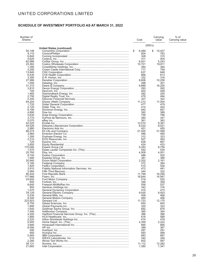| Number of<br>Shares |                           | Cost |                  |         |                  | Carrying<br>value |  | $%$ of<br>Carrying value |
|---------------------|---------------------------|------|------------------|---------|------------------|-------------------|--|--------------------------|
|                     | United States (continued) |      |                  | (000's) |                  |                   |  |                          |
| 50,146              |                           | \$   | 6,489            | \$      | 10,437           |                   |  |                          |
| 6,110               |                           |      | 804              |         | 763              |                   |  |                          |
| 6,840               |                           |      | 328              |         | 315              |                   |  |                          |
| 5,620<br>62,986     |                           |      | 411<br>6,931     |         | 404<br>5,243     |                   |  |                          |
| 23,362              |                           |      | 10,721           |         | 16,811           |                   |  |                          |
| 1,390               |                           |      | 384              |         | 394              |                   |  |                          |
| 3,290               |                           |      | 717              |         | 759              |                   |  |                          |
| 13,840<br>6,430     |                           |      | 637<br>868       |         | 648<br>813       |                   |  |                          |
| 3,390               |                           |      | 332              |         | 316              |                   |  |                          |
| 27,986              |                           |      | 8,606            |         | 10,258           |                   |  |                          |
| 1,590               |                           |      | 298              |         | 301              |                   |  |                          |
| 31,310<br>3,810     |                           |      | 9,889<br>293     |         | 16,255<br>282    |                   |  |                          |
| 700                 |                           |      | 402              |         | 448              |                   |  |                          |
| 1,460               |                           |      | 262              |         | 250              |                   |  |                          |
| 2,790               |                           |      | 479              |         | 494              |                   |  |                          |
| 2,340<br>64,204     |                           |      | 327<br>11,212    |         | 322<br>11.004    |                   |  |                          |
| 1,720               |                           |      | 477              |         | 479              |                   |  |                          |
| 2,120               |                           |      | 414              |         | 424              |                   |  |                          |
| 6,190               |                           |      | 640              |         | 657              |                   |  |                          |
| 4,890<br>5,630      |                           |      | 392<br>759       |         | 389<br>786       |                   |  |                          |
| 3.770               |                           |      | 360              |         | 347              |                   |  |                          |
| 5,070               |                           |      | 361              |         | 363              |                   |  |                          |
| 42,520              |                           |      | 12,010           |         | 9,381            |                   |  |                          |
| 54,526<br>2,880     |                           |      | 6,032<br>451     |         | 8,021<br>455     |                   |  |                          |
| 88,274              |                           |      | 21,500           |         | 31,589           |                   |  |                          |
| 3,960               |                           |      | 486              |         | 485              |                   |  |                          |
| 1,280               |                           |      | 312              |         | 323              |                   |  |                          |
| 3,310<br>720        |                           |      | 507<br>638       |         | 493<br>667       |                   |  |                          |
| 3,850               |                           |      | 424              |         | 433              |                   |  |                          |
| 170,095             |                           |      | 9,393            |         | 8,759            |                   |  |                          |
| 1,570<br>25,760     |                           |      | 542<br>4,509     |         | 534<br>4,001     |                   |  |                          |
| 8,740               |                           |      | 486              |         | 520              |                   |  |                          |
| 1,580               |                           |      | 381              |         | 386              |                   |  |                          |
| 20,940              |                           |      | 2,202            |         | 2,161            |                   |  |                          |
| 5,180<br>1,820      |                           |      | 372<br>510       |         | 384<br>526       |                   |  |                          |
| 3,910               |                           |      | 472              |         | 491              |                   |  |                          |
| 5,980               |                           |      | 344              |         | 322              |                   |  |                          |
| 80,444<br>117,966   |                           |      | 11,799<br>16,644 |         | 16,295<br>14,947 |                   |  |                          |
| 24,600              |                           |      | 519              |         | 520              |                   |  |                          |
| 840                 |                           |      | 346              |         | 359              |                   |  |                          |
| 8,640               |                           |      | 556              |         | 537              |                   |  |                          |
| 850<br>1,570        |                           |      | 342<br>475       |         | 316<br>473       |                   |  |                          |
| 78,129              |                           |      | 9,935            |         | 8,933            |                   |  |                          |
| 5,530               |                           |      | 458              |         | 468              |                   |  |                          |
| 8,340<br>223,923    |                           |      | 464<br>11,723    |         | 456<br>12,175    |                   |  |                          |
| 8,750               |                           |      | 650              |         | 650              |                   |  |                          |
| 1,890               |                           |      | 320              |         | 323              |                   |  |                          |
| 1,640               |                           |      | 692              |         | 676              |                   |  |                          |
| 7,490<br>4,300      |                           |      | 360<br>386       |         | 354<br>386       |                   |  |                          |
| 1,880               |                           |      | 616              |         | 589              |                   |  |                          |
| 2,520               |                           |      | 474              |         | 478              |                   |  |                          |
| 5,940               |                           |      | 2,359            |         | 2,222            |                   |  |                          |
| 3,680<br>8,090      |                           |      | 895<br>389       |         | 895<br>367       |                   |  |                          |
| 490                 |                           |      | 287              |         | 291              |                   |  |                          |
| 900                 |                           |      | 493              |         | 489              |                   |  |                          |
| 5,460<br>510        |                           |      | 883<br>342       |         | 887<br>349       |                   |  |                          |
| 2,280               |                           |      | 602              |         | 597              |                   |  |                          |
| 28,131              |                           |      | 11,112           |         | 12,282           |                   |  |                          |
| 21,660              |                           |      | 1,380            |         | 1,341            |                   |  |                          |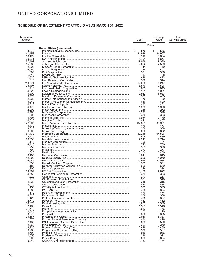| Number of<br>Shares |                           | Cost         | Carrying<br>value | % of<br>Carrying value |
|---------------------|---------------------------|--------------|-------------------|------------------------|
|                     |                           |              | (000's)           |                        |
| 3,370               | United States (continued) | 570<br>\$    | \$<br>556         |                        |
| 41,453              |                           | 21,936       | 24,907            |                        |
| 18,129              |                           | 5,910        | 6,834             |                        |
| 20,271              |                           | 4,704        | 5,857             |                        |
| 87,462              |                           | 17,989       | 19,370            |                        |
| 15,080              |                           | 2,652        | 2,569             |                        |
| 2,920               |                           | 441          | 449               |                        |
| 16,950              |                           | 389          | 401               |                        |
| 800                 |                           | 361          | 366               |                        |
| 6,110               |                           | 437          | 438<br>472        |                        |
| 1,520<br>810        |                           | 488<br>556   | 544               |                        |
| 210,974             |                           | 12,266       | 10,247            |                        |
| 78,497              |                           | 8,576        | 10,596            |                        |
| 1.710               |                           | 963          | 943               |                        |
| 4,320               |                           | 1,191        | 1,091             |                        |
| 14,600              |                           | 5,942        | 6,663             |                        |
| 3,770               |                           | 383          | 403               |                        |
| 2,230               |                           | 476          | 490               |                        |
| 3,240               |                           | 666          | 690               |                        |
| 4,810               |                           | 435          | 431               |                        |
| 4,470               |                           | 1,939        | 1,996             |                        |
| 2,000               |                           | 265          | 272               |                        |
| 4.460<br>1.000      |                           | 1,337        | 1,378             |                        |
| 4,803               |                           | 380<br>7,034 | 383<br>7,139      |                        |
| 14,310              |                           | 1,441        | 1,467             |                        |
| 122.007             |                           | 37,821       | 33,901            |                        |
| 5,430               |                           | 479          | 477               |                        |
| 3,810               |                           | 366          | 358               |                        |
| 6,800               |                           | 660          | 662               |                        |
| 167,432             |                           | 40,215       | 64,506            |                        |
| 2,270               |                           | 506          | 489               |                        |
| 98,336              |                           | 7,247        | 7,714             |                        |
| 1,140               |                           | 469          | 481               |                        |
| 6,410               |                           | 743          | 700               |                        |
| 1,250               |                           | 359          | 378               |                        |
| 600<br>11,643       |                           | 372          | 377<br>5.450      |                        |
| 6,480               |                           | 8,104<br>641 | 643               |                        |
| 12,000              |                           | 1,256        | 1,270             |                        |
| 136,985             |                           | 19,918       | 23,034            |                        |
| 1,630               |                           | 573          | 581               |                        |
| 1,180               |                           | 669          | 659               |                        |
| 1,800               |                           | 344          | 334               |                        |
| 28.807              |                           | 3,170        | 9,822             |                        |
| 4,550               |                           | 339          | 323               |                        |
| 1,520               |                           | 273          | 287               |                        |
| 910                 |                           | 361          | 340               |                        |
| 4,030               |                           | 315          | 315               |                        |
| 8,070               |                           | 830          | 834               |                        |
| 450<br>3,580        |                           | 393<br>400   | 385<br>394        |                        |
| 610                 |                           | 470          | 474               |                        |
| 6,520               |                           | 308          | 308               |                        |
| 1,120               |                           | 405          | 397               |                        |
| 2,710               |                           | 432          | 462               |                        |
| 36,673              |                           | 4,605        | 5,300             |                        |
| 7,400               |                           | 1,523        | 1,548             |                        |
| 27,610              |                           | 1,822        | 1,786             |                        |
| 9,540               |                           | 1,103        | 1,120             |                        |
| 3,570               |                           | 360          | 385               |                        |
| 175,157             |                           | 9,956        | 5,387             |                        |
| 1,370               |                           | 434          | 428               |                        |
| 2,430               |                           | 589          | 560               |                        |
| 2,260               |                           | 367          | 370               |                        |
| 12,830<br>3,980     |                           | 2,428<br>570 | 2,450<br>567      |                        |
| 4,690               |                           | 919          | 946               |                        |
| 2,650               |                           | 396          | 391               |                        |
| 1,300               |                           | 603          | 634               |                        |
| 5,940               |                           | 1,167        | 1,134             |                        |
|                     |                           |              |                   |                        |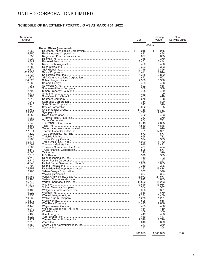# SCHEDULE OF INVESTMENT PORTFOLIO AS AT MARCH 31, 2022

| Number of<br>Shares |                           | Cost               | Carrying<br>value | % of<br>Carrying value |
|---------------------|---------------------------|--------------------|-------------------|------------------------|
|                     |                           |                    | (000's)           |                        |
|                     | United States (continued) |                    |                   |                        |
| 7,960<br>5,750      |                           | 1,015<br>\$<br>482 | \$<br>985<br>498  |                        |
| 750                 |                           | 637                | 655               |                        |
| 1,220               |                           | 368                | 370               |                        |
| 9,842               |                           | 3,461              | 3,444             |                        |
| 830                 |                           | 480                | 490               |                        |
| 2,680<br>19,170     |                           | 303<br>10,749      | 303<br>9,826      |                        |
| 689,235             |                           | 13.421             | 9,844             |                        |
| 25,636              |                           | 5,385              | 6,802             |                        |
| 1,170               |                           | 472                | 503               |                        |
| 134,629             |                           | 4,358              | 6,950             |                        |
| 2,360<br>960        |                           | 469<br>692         | 496<br>668        |                        |
| 1,820               |                           | 568                | 568               |                        |
| 2,790               |                           | 455                | 459               |                        |
| 4,430               |                           | 202                | 199               |                        |
| 1,460               |                           | 405                | 418               |                        |
| 7,810               |                           | 678                | 708               |                        |
| 7,040<br>2,940      |                           | 764<br>327         | 800<br>320        |                        |
| 2.110               |                           | 692                | 705               |                        |
| 24,780              |                           | 11,186             | 17,323            |                        |
| 23,956              |                           | 4,797              | 9,977             |                        |
| 3,950               |                           | 402                | 403               |                        |
| 1,960               |                           | 363                | 370               |                        |
| 2,950<br>35,940     |                           | 804<br>4,748       | 782<br>4.635      |                        |
| 3,600               |                           | 4,549              | 4,848             |                        |
| 4,780               |                           | 1,096              | 1.096             |                        |
| 17,574              |                           | 8,781              | 12,971            |                        |
| 7,620               |                           | 572                | 577               |                        |
| 4,440               |                           | 698<br>374         | 712<br>373        |                        |
| 1,280<br>66,474     |                           | 5,909              | 5,752             |                        |
| 67,593              |                           | 4,945              | 7,422             |                        |
| 1,900               |                           | 437                | 434               |                        |
| 8,140               |                           | 598                | 577               |                        |
| 6,590               |                           | 320                | 319               |                        |
| 8,110<br>9,710      |                           | 570<br>419         | 539<br>433        |                        |
| 3,710               |                           | 1,257              | 1,267             |                        |
| 4,040               |                           | 1,086              | 1,083             |                        |
| 690                 |                           | 310                | 306               |                        |
| 25,757              |                           | 12,233             | 16,414            |                        |
| 2,960<br>1,370      |                           | 357<br>337         | 376<br>364        |                        |
| 80.452              |                           | 13,972             | 21,577            |                        |
| 25,180              |                           | 1,612              | 1,603             |                        |
| 46,772              |                           | 11,502             | 15,253            |                        |
| 57,679              |                           | 15,659             | 15,984            |                        |
| 1,620               |                           | 364                | 372               |                        |
| 6,460<br>9,020      |                           | 380<br>1,616       | 361<br>1,679      |                        |
| 42,758              |                           | 7,274              | 8,469             |                        |
| 19,830              |                           | 1,278              | 1,201             |                        |
| 4,310               |                           | 508                | 518               |                        |
| 163.459             |                           | 10,495             | 9,606             |                        |
| 8,440               |                           | 403<br>414         | 400               |                        |
| 10,040<br>1,200     |                           | 359                | 419<br>359        |                        |
| 5,130               |                           | 449                | 463               |                        |
| 3,020               |                           | 449                | 447               |                        |
| 48,279              |                           | 7,526              | 7,716             |                        |
| 2,710               |                           | 646                | 639               |                        |
| 2,450<br>1,020      |                           | 357<br>297         | 359<br>308        |                        |
|                     |                           |                    |                   |                        |
|                     |                           | 901,623            | 1,041,829         | 53.0                   |

 $31$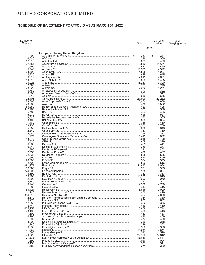| Number of<br>Shares |                                                  | Cost |                 | Carrying<br>value<br>(000's) |                 |  |  | % of<br>Carrying value |
|---------------------|--------------------------------------------------|------|-----------------|------------------------------|-----------------|--|--|------------------------|
|                     |                                                  |      |                 |                              |                 |  |  |                        |
|                     | Europe, excluding United Kingdom                 |      |                 |                              |                 |  |  |                        |
| 90<br>16,340        | A.P. Moller - Mÿrsk A/S………………………………………………………………… | \$   | 367<br>396      | \$                           | 341<br>386      |  |  |                        |
| 12,210              |                                                  |      | 531             |                              | 499             |  |  |                        |
| 27,554              |                                                  |      | 9,532           |                              | 11,611          |  |  |                        |
| 1,490<br>5,743      |                                                  |      | 432<br>15,369   |                              | 440<br>14,392   |  |  |                        |
| 23,593              |                                                  |      | 4,825           |                              | 4,937           |  |  |                        |
| 4,220               |                                                  |      | 625             |                              | 645             |  |  |                        |
| 9.317<br>50,617     |                                                  |      | 2,015<br>5,529  |                              | 2.051<br>5,485  |  |  |                        |
| 174,028             |                                                  |      | 16,283          |                              | 17,320          |  |  |                        |
| 2.580               |                                                  |      | 757             |                              | 776             |  |  |                        |
| 178,226<br>4,780    |                                                  |      | 7,282<br>373    |                              | 5,251<br>392    |  |  |                        |
| 6.880               |                                                  |      | 507             |                              | 517             |  |  |                        |
| 1,610               |                                                  |      | 639             |                              | 655             |  |  |                        |
| 32,405<br>88,865    |                                                  |      | 27,909<br>6,454 |                              | 27,282<br>5,838 |  |  |                        |
| 178,588             |                                                  |      | 5,478           |                              | 6,572           |  |  |                        |
| 59,280              |                                                  |      | 423             |                              | 428             |  |  |                        |
| 117,760<br>6,780    |                                                  |      | 502<br>493      |                              | 506<br>486      |  |  |                        |
| 6,070               |                                                  |      | 499             |                              | 521             |  |  |                        |
| 3,540               |                                                  |      | 382             |                              | 385             |  |  |                        |
| 8,400<br>1,460      |                                                  |      | 599<br>385      |                              | 604<br>410      |  |  |                        |
| 138,130             |                                                  |      | 3,503           |                              | 3,759           |  |  |                        |
| 5,750               |                                                  |      | 336             |                              | 348             |  |  |                        |
| 2,840<br>5,080      |                                                  |      | 757<br>395      |                              | 759<br>382      |  |  |                        |
| 11,277              |                                                  |      | 1,413           |                              | 1,802           |  |  |                        |
| 143,649             |                                                  |      | 1,918           |                              | 1,428           |  |  |                        |
| 7.530<br>6,360      |                                                  |      | 405<br>455      |                              | 379<br>441      |  |  |                        |
| 6,240               |                                                  |      | 389             |                              | 387             |  |  |                        |
| 1,780               |                                                  |      | 391             |                              | 402             |  |  |                        |
| 7,750<br>22,830     |                                                  |      | 480<br>528      |                              | 467<br>535      |  |  |                        |
| 1,690               |                                                  |      | 410             |                              | 409             |  |  |                        |
| 26,000              |                                                  |      | 374             |                              | 379             |  |  |                        |
| 2,720<br>1,081,874  |                                                  |      | 522<br>11,697   |                              | 516<br>9,094    |  |  |                        |
| 22,090              |                                                  |      | 361             |                              | 365             |  |  |                        |
| 224,602             |                                                  |      | 6,185           |                              | 6,067           |  |  |                        |
| 8,190<br>59,980     |                                                  |      | 382<br>13,935   |                              | 387<br>13,818   |  |  |                        |
| 2,090               |                                                  |      | 293             |                              | 270             |  |  |                        |
| 2.140               |                                                  |      | 317             |                              | 311             |  |  |                        |
| 10,246<br>80        |                                                  |      | 4,998<br>417    |                              | 4,700<br>415    |  |  |                        |
| 54,424              |                                                  |      | 6,818           |                              | 3,099           |  |  |                        |
| 240<br>394,718      |                                                  |      | 400             |                              | 429<br>7,000    |  |  |                        |
| 2,510               |                                                  |      | 6,454<br>344    |                              | 330             |  |  |                        |
| 45,970              |                                                  |      | 605             |                              | 632             |  |  |                        |
| 12,250              |                                                  |      | 352             |                              | 336             |  |  |                        |
| 9,840<br>435,957    |                                                  |      | 410<br>5,859    |                              | 419<br>5,744    |  |  |                        |
| 143,190             |                                                  |      | 403             |                              | 413             |  |  |                        |
| 17,690              |                                                  |      | 482             |                              | 487             |  |  |                        |
| 4,990<br>590        |                                                  |      | 410<br>474      |                              | 409<br>470      |  |  |                        |
| 8,620               |                                                  |      | 339             |                              | 348             |  |  |                        |
| 1,740               |                                                  |      | 386             |                              | 392             |  |  |                        |
| 9,330<br>31,962     |                                                  |      | 350<br>13,064   |                              | 358<br>12,854   |  |  |                        |
| 580                 |                                                  |      | 513             |                              | 528             |  |  |                        |
| 49,226              |                                                  |      | 22,103          |                              | 24,812          |  |  |                        |
| 21,833<br>7,890     |                                                  |      | 18,680<br>1,050 |                              | 19,641<br>1,094 |  |  |                        |
| 6,150               |                                                  |      | 537             |                              | 541             |  |  |                        |
| 1,480               |                                                  |      | 371             |                              | 389             |  |  |                        |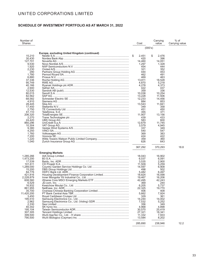# SCHEDULE OF INVESTMENT PORTFOLIO AS AT MARCH 31, 2022

| (000's)<br>Europe, excluding United Kingdom (continued)<br>15,210<br>2.451<br>\$<br>S<br>2,476<br>420<br>30,430<br>396<br>127,701<br>Novartis AG…………………………………………………………………………………<br>14,460<br>14,051<br>1,297<br>9,530<br>1,328<br>1,920<br>454<br>444<br>2,230<br>321<br>352<br>290<br>444<br>453<br>1,780<br>462<br>491<br>6,880<br>469<br>463<br>37.336<br>13,811<br>18,528<br>95,749<br>4,870<br>5,218<br>40,166<br>4,278<br>4,373<br>2,940<br>422<br>437<br>12,530<br>359<br>336<br>80,015<br>10,038<br>10,254<br>82.562<br>13,228<br>11,506<br>68,582<br>12,233<br>14,456<br>4,910<br>884<br>853<br>28,445<br>13,543<br>11,841<br>17,450<br>349<br>358<br>2,750<br>451<br>450<br>61,110<br>355<br>371<br>206,320<br>11,907<br>13,156<br>2,270<br>439<br>433<br>24,420<br>583<br>600<br>860,296<br>12,679<br>11,745<br>10,304<br>3,579<br>4,945<br>9,380<br>349<br>337<br>4,250<br>547<br>540<br>1,760<br>369<br>383<br>7,200<br>424<br>422<br>1,220<br>359<br>360<br>1,040<br>626<br>643<br>367,292<br>370,293<br>18.8<br><b>Emerging Markets</b><br>18,043<br>16,902<br>1,285,266<br>1,473,200<br>6,037<br>6,091<br>17,539<br>3,535<br>2,900<br>101,611<br>11,509<br>5,259<br>1,289,000<br>14,597<br>6,908<br>498<br>15,200<br>502<br>5,482<br>6,497<br>84,776<br>Housing Development Finance Corporation Limited<br>421,816<br>18,824<br>16,598<br>2,228,879<br>19,467<br>16,206<br>608,560<br>42.495<br>42,243<br>6,529<br>369<br>244<br>16,932<br>5,737<br>6,205<br>22,325<br>861,955<br>19,770<br>35,700<br>406<br>408<br>11,420,200<br>5,662<br>7,924<br>3,450<br>329<br>361<br>195,510<br>14,244<br>14,002<br>7,532<br>5,252<br>2,962<br>2,330<br>356<br>349<br>40,342<br>4,968<br>4,898<br>195,104<br>30,570<br>25,419<br>307,305<br>27,321<br>18,341 | Number of<br>Shares |  | Cost |  | Carrying<br>value | % of<br>Carrying value |
|--------------------------------------------------------------------------------------------------------------------------------------------------------------------------------------------------------------------------------------------------------------------------------------------------------------------------------------------------------------------------------------------------------------------------------------------------------------------------------------------------------------------------------------------------------------------------------------------------------------------------------------------------------------------------------------------------------------------------------------------------------------------------------------------------------------------------------------------------------------------------------------------------------------------------------------------------------------------------------------------------------------------------------------------------------------------------------------------------------------------------------------------------------------------------------------------------------------------------------------------------------------------------------------------------------------------------------------------------------------------------------------------------------------------------------------------------------------------------------------------------------------------------------------------------------------------------------------------------------------------------------------------------------------------------------------------------------------------------------------------------------------------|---------------------|--|------|--|-------------------|------------------------|
|                                                                                                                                                                                                                                                                                                                                                                                                                                                                                                                                                                                                                                                                                                                                                                                                                                                                                                                                                                                                                                                                                                                                                                                                                                                                                                                                                                                                                                                                                                                                                                                                                                                                                                                                                                    |                     |  |      |  |                   |                        |
|                                                                                                                                                                                                                                                                                                                                                                                                                                                                                                                                                                                                                                                                                                                                                                                                                                                                                                                                                                                                                                                                                                                                                                                                                                                                                                                                                                                                                                                                                                                                                                                                                                                                                                                                                                    |                     |  |      |  |                   |                        |
|                                                                                                                                                                                                                                                                                                                                                                                                                                                                                                                                                                                                                                                                                                                                                                                                                                                                                                                                                                                                                                                                                                                                                                                                                                                                                                                                                                                                                                                                                                                                                                                                                                                                                                                                                                    |                     |  |      |  |                   |                        |
|                                                                                                                                                                                                                                                                                                                                                                                                                                                                                                                                                                                                                                                                                                                                                                                                                                                                                                                                                                                                                                                                                                                                                                                                                                                                                                                                                                                                                                                                                                                                                                                                                                                                                                                                                                    |                     |  |      |  |                   |                        |
|                                                                                                                                                                                                                                                                                                                                                                                                                                                                                                                                                                                                                                                                                                                                                                                                                                                                                                                                                                                                                                                                                                                                                                                                                                                                                                                                                                                                                                                                                                                                                                                                                                                                                                                                                                    |                     |  |      |  |                   |                        |
|                                                                                                                                                                                                                                                                                                                                                                                                                                                                                                                                                                                                                                                                                                                                                                                                                                                                                                                                                                                                                                                                                                                                                                                                                                                                                                                                                                                                                                                                                                                                                                                                                                                                                                                                                                    |                     |  |      |  |                   |                        |
|                                                                                                                                                                                                                                                                                                                                                                                                                                                                                                                                                                                                                                                                                                                                                                                                                                                                                                                                                                                                                                                                                                                                                                                                                                                                                                                                                                                                                                                                                                                                                                                                                                                                                                                                                                    |                     |  |      |  |                   |                        |
|                                                                                                                                                                                                                                                                                                                                                                                                                                                                                                                                                                                                                                                                                                                                                                                                                                                                                                                                                                                                                                                                                                                                                                                                                                                                                                                                                                                                                                                                                                                                                                                                                                                                                                                                                                    |                     |  |      |  |                   |                        |
|                                                                                                                                                                                                                                                                                                                                                                                                                                                                                                                                                                                                                                                                                                                                                                                                                                                                                                                                                                                                                                                                                                                                                                                                                                                                                                                                                                                                                                                                                                                                                                                                                                                                                                                                                                    |                     |  |      |  |                   |                        |
|                                                                                                                                                                                                                                                                                                                                                                                                                                                                                                                                                                                                                                                                                                                                                                                                                                                                                                                                                                                                                                                                                                                                                                                                                                                                                                                                                                                                                                                                                                                                                                                                                                                                                                                                                                    |                     |  |      |  |                   |                        |
|                                                                                                                                                                                                                                                                                                                                                                                                                                                                                                                                                                                                                                                                                                                                                                                                                                                                                                                                                                                                                                                                                                                                                                                                                                                                                                                                                                                                                                                                                                                                                                                                                                                                                                                                                                    |                     |  |      |  |                   |                        |
|                                                                                                                                                                                                                                                                                                                                                                                                                                                                                                                                                                                                                                                                                                                                                                                                                                                                                                                                                                                                                                                                                                                                                                                                                                                                                                                                                                                                                                                                                                                                                                                                                                                                                                                                                                    |                     |  |      |  |                   |                        |
|                                                                                                                                                                                                                                                                                                                                                                                                                                                                                                                                                                                                                                                                                                                                                                                                                                                                                                                                                                                                                                                                                                                                                                                                                                                                                                                                                                                                                                                                                                                                                                                                                                                                                                                                                                    |                     |  |      |  |                   |                        |
|                                                                                                                                                                                                                                                                                                                                                                                                                                                                                                                                                                                                                                                                                                                                                                                                                                                                                                                                                                                                                                                                                                                                                                                                                                                                                                                                                                                                                                                                                                                                                                                                                                                                                                                                                                    |                     |  |      |  |                   |                        |
|                                                                                                                                                                                                                                                                                                                                                                                                                                                                                                                                                                                                                                                                                                                                                                                                                                                                                                                                                                                                                                                                                                                                                                                                                                                                                                                                                                                                                                                                                                                                                                                                                                                                                                                                                                    |                     |  |      |  |                   |                        |
|                                                                                                                                                                                                                                                                                                                                                                                                                                                                                                                                                                                                                                                                                                                                                                                                                                                                                                                                                                                                                                                                                                                                                                                                                                                                                                                                                                                                                                                                                                                                                                                                                                                                                                                                                                    |                     |  |      |  |                   |                        |
|                                                                                                                                                                                                                                                                                                                                                                                                                                                                                                                                                                                                                                                                                                                                                                                                                                                                                                                                                                                                                                                                                                                                                                                                                                                                                                                                                                                                                                                                                                                                                                                                                                                                                                                                                                    |                     |  |      |  |                   |                        |
|                                                                                                                                                                                                                                                                                                                                                                                                                                                                                                                                                                                                                                                                                                                                                                                                                                                                                                                                                                                                                                                                                                                                                                                                                                                                                                                                                                                                                                                                                                                                                                                                                                                                                                                                                                    |                     |  |      |  |                   |                        |
|                                                                                                                                                                                                                                                                                                                                                                                                                                                                                                                                                                                                                                                                                                                                                                                                                                                                                                                                                                                                                                                                                                                                                                                                                                                                                                                                                                                                                                                                                                                                                                                                                                                                                                                                                                    |                     |  |      |  |                   |                        |
|                                                                                                                                                                                                                                                                                                                                                                                                                                                                                                                                                                                                                                                                                                                                                                                                                                                                                                                                                                                                                                                                                                                                                                                                                                                                                                                                                                                                                                                                                                                                                                                                                                                                                                                                                                    |                     |  |      |  |                   |                        |
|                                                                                                                                                                                                                                                                                                                                                                                                                                                                                                                                                                                                                                                                                                                                                                                                                                                                                                                                                                                                                                                                                                                                                                                                                                                                                                                                                                                                                                                                                                                                                                                                                                                                                                                                                                    |                     |  |      |  |                   |                        |
|                                                                                                                                                                                                                                                                                                                                                                                                                                                                                                                                                                                                                                                                                                                                                                                                                                                                                                                                                                                                                                                                                                                                                                                                                                                                                                                                                                                                                                                                                                                                                                                                                                                                                                                                                                    |                     |  |      |  |                   |                        |
|                                                                                                                                                                                                                                                                                                                                                                                                                                                                                                                                                                                                                                                                                                                                                                                                                                                                                                                                                                                                                                                                                                                                                                                                                                                                                                                                                                                                                                                                                                                                                                                                                                                                                                                                                                    |                     |  |      |  |                   |                        |
|                                                                                                                                                                                                                                                                                                                                                                                                                                                                                                                                                                                                                                                                                                                                                                                                                                                                                                                                                                                                                                                                                                                                                                                                                                                                                                                                                                                                                                                                                                                                                                                                                                                                                                                                                                    |                     |  |      |  |                   |                        |
|                                                                                                                                                                                                                                                                                                                                                                                                                                                                                                                                                                                                                                                                                                                                                                                                                                                                                                                                                                                                                                                                                                                                                                                                                                                                                                                                                                                                                                                                                                                                                                                                                                                                                                                                                                    |                     |  |      |  |                   |                        |
|                                                                                                                                                                                                                                                                                                                                                                                                                                                                                                                                                                                                                                                                                                                                                                                                                                                                                                                                                                                                                                                                                                                                                                                                                                                                                                                                                                                                                                                                                                                                                                                                                                                                                                                                                                    |                     |  |      |  |                   |                        |
|                                                                                                                                                                                                                                                                                                                                                                                                                                                                                                                                                                                                                                                                                                                                                                                                                                                                                                                                                                                                                                                                                                                                                                                                                                                                                                                                                                                                                                                                                                                                                                                                                                                                                                                                                                    |                     |  |      |  |                   |                        |
|                                                                                                                                                                                                                                                                                                                                                                                                                                                                                                                                                                                                                                                                                                                                                                                                                                                                                                                                                                                                                                                                                                                                                                                                                                                                                                                                                                                                                                                                                                                                                                                                                                                                                                                                                                    |                     |  |      |  |                   |                        |
|                                                                                                                                                                                                                                                                                                                                                                                                                                                                                                                                                                                                                                                                                                                                                                                                                                                                                                                                                                                                                                                                                                                                                                                                                                                                                                                                                                                                                                                                                                                                                                                                                                                                                                                                                                    |                     |  |      |  |                   |                        |
|                                                                                                                                                                                                                                                                                                                                                                                                                                                                                                                                                                                                                                                                                                                                                                                                                                                                                                                                                                                                                                                                                                                                                                                                                                                                                                                                                                                                                                                                                                                                                                                                                                                                                                                                                                    |                     |  |      |  |                   |                        |
|                                                                                                                                                                                                                                                                                                                                                                                                                                                                                                                                                                                                                                                                                                                                                                                                                                                                                                                                                                                                                                                                                                                                                                                                                                                                                                                                                                                                                                                                                                                                                                                                                                                                                                                                                                    |                     |  |      |  |                   |                        |
|                                                                                                                                                                                                                                                                                                                                                                                                                                                                                                                                                                                                                                                                                                                                                                                                                                                                                                                                                                                                                                                                                                                                                                                                                                                                                                                                                                                                                                                                                                                                                                                                                                                                                                                                                                    |                     |  |      |  |                   |                        |
|                                                                                                                                                                                                                                                                                                                                                                                                                                                                                                                                                                                                                                                                                                                                                                                                                                                                                                                                                                                                                                                                                                                                                                                                                                                                                                                                                                                                                                                                                                                                                                                                                                                                                                                                                                    |                     |  |      |  |                   |                        |
|                                                                                                                                                                                                                                                                                                                                                                                                                                                                                                                                                                                                                                                                                                                                                                                                                                                                                                                                                                                                                                                                                                                                                                                                                                                                                                                                                                                                                                                                                                                                                                                                                                                                                                                                                                    |                     |  |      |  |                   |                        |
|                                                                                                                                                                                                                                                                                                                                                                                                                                                                                                                                                                                                                                                                                                                                                                                                                                                                                                                                                                                                                                                                                                                                                                                                                                                                                                                                                                                                                                                                                                                                                                                                                                                                                                                                                                    |                     |  |      |  |                   |                        |
|                                                                                                                                                                                                                                                                                                                                                                                                                                                                                                                                                                                                                                                                                                                                                                                                                                                                                                                                                                                                                                                                                                                                                                                                                                                                                                                                                                                                                                                                                                                                                                                                                                                                                                                                                                    |                     |  |      |  |                   |                        |
|                                                                                                                                                                                                                                                                                                                                                                                                                                                                                                                                                                                                                                                                                                                                                                                                                                                                                                                                                                                                                                                                                                                                                                                                                                                                                                                                                                                                                                                                                                                                                                                                                                                                                                                                                                    |                     |  |      |  |                   |                        |
|                                                                                                                                                                                                                                                                                                                                                                                                                                                                                                                                                                                                                                                                                                                                                                                                                                                                                                                                                                                                                                                                                                                                                                                                                                                                                                                                                                                                                                                                                                                                                                                                                                                                                                                                                                    |                     |  |      |  |                   |                        |
|                                                                                                                                                                                                                                                                                                                                                                                                                                                                                                                                                                                                                                                                                                                                                                                                                                                                                                                                                                                                                                                                                                                                                                                                                                                                                                                                                                                                                                                                                                                                                                                                                                                                                                                                                                    |                     |  |      |  |                   |                        |
|                                                                                                                                                                                                                                                                                                                                                                                                                                                                                                                                                                                                                                                                                                                                                                                                                                                                                                                                                                                                                                                                                                                                                                                                                                                                                                                                                                                                                                                                                                                                                                                                                                                                                                                                                                    |                     |  |      |  |                   |                        |
|                                                                                                                                                                                                                                                                                                                                                                                                                                                                                                                                                                                                                                                                                                                                                                                                                                                                                                                                                                                                                                                                                                                                                                                                                                                                                                                                                                                                                                                                                                                                                                                                                                                                                                                                                                    |                     |  |      |  |                   |                        |
|                                                                                                                                                                                                                                                                                                                                                                                                                                                                                                                                                                                                                                                                                                                                                                                                                                                                                                                                                                                                                                                                                                                                                                                                                                                                                                                                                                                                                                                                                                                                                                                                                                                                                                                                                                    |                     |  |      |  |                   |                        |
|                                                                                                                                                                                                                                                                                                                                                                                                                                                                                                                                                                                                                                                                                                                                                                                                                                                                                                                                                                                                                                                                                                                                                                                                                                                                                                                                                                                                                                                                                                                                                                                                                                                                                                                                                                    |                     |  |      |  |                   |                        |
|                                                                                                                                                                                                                                                                                                                                                                                                                                                                                                                                                                                                                                                                                                                                                                                                                                                                                                                                                                                                                                                                                                                                                                                                                                                                                                                                                                                                                                                                                                                                                                                                                                                                                                                                                                    |                     |  |      |  |                   |                        |
|                                                                                                                                                                                                                                                                                                                                                                                                                                                                                                                                                                                                                                                                                                                                                                                                                                                                                                                                                                                                                                                                                                                                                                                                                                                                                                                                                                                                                                                                                                                                                                                                                                                                                                                                                                    |                     |  |      |  |                   |                        |
|                                                                                                                                                                                                                                                                                                                                                                                                                                                                                                                                                                                                                                                                                                                                                                                                                                                                                                                                                                                                                                                                                                                                                                                                                                                                                                                                                                                                                                                                                                                                                                                                                                                                                                                                                                    |                     |  |      |  |                   |                        |
| 399,500<br>11,332<br>7,933<br>790,500<br>13,584<br>8,202                                                                                                                                                                                                                                                                                                                                                                                                                                                                                                                                                                                                                                                                                                                                                                                                                                                                                                                                                                                                                                                                                                                                                                                                                                                                                                                                                                                                                                                                                                                                                                                                                                                                                                           |                     |  |      |  |                   |                        |
| 12.2<br>285,690<br>238,946                                                                                                                                                                                                                                                                                                                                                                                                                                                                                                                                                                                                                                                                                                                                                                                                                                                                                                                                                                                                                                                                                                                                                                                                                                                                                                                                                                                                                                                                                                                                                                                                                                                                                                                                         |                     |  |      |  |                   |                        |

33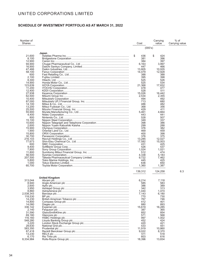| Number of<br>Shares |                       | Cost          | Carrying<br>value | % of<br>Carrying value |
|---------------------|-----------------------|---------------|-------------------|------------------------|
|                     |                       | (000's)       |                   |                        |
|                     | Japan                 |               |                   |                        |
| 21,600              |                       | \$<br>436     | \$<br>424         |                        |
| 8,100<br>12,900     |                       | 381<br>384    | 396<br>397        |                        |
| 94,900              |                       | 6,163         | 3,997             |                        |
| 16,900              |                       | 447           | 466               |                        |
| 47,466              |                       | 13,805        | 10,935            |                        |
| 58.100<br>600       |                       | 14,479<br>388 | 12,928<br>388     |                        |
| 2.100               |                       | 395           | 398               |                        |
| 8,300               |                       | 525           | 526               |                        |
| 14,900<br>123,639   |                       | 525<br>21,368 | 534<br>17,832     |                        |
| 11,200              |                       | 478           | 477               |                        |
| 12,400              |                       | 528           | 511               |                        |
| 27,938              |                       | 15,026        | 16.442            |                        |
| 62,500<br>10,400    |                       | 2,534<br>494  | 2,355<br>492      |                        |
| 87,000              |                       | 713           | 680               |                        |
| 14,100              |                       | 486           | 482               |                        |
| 13,200              |                       | 368           | 356               |                        |
| 25,500<br>55,900    |                       | 429<br>5,461  | 411<br>4,664      |                        |
| 4,400               |                       | 443           | 441               |                        |
| 800                 |                       | 528           | 507               |                        |
| 15,100              |                       | 349<br>398    | 337<br>386        |                        |
| 10,600<br>2.600     |                       | 299           | 288               |                        |
| 15,900              |                       | 376           | 382               |                        |
| 1,900               |                       | 469           | 459               |                        |
| 15,800<br>30,700    |                       | 400<br>376    | 398<br>375        |                        |
| 216,103             |                       | 13,285        | 12,027            |                        |
| 77,673              |                       | 17,582        | 15,003            |                        |
| 600<br>9,400        |                       | 431<br>526    | 425<br>537        |                        |
| 7,800               |                       | 1,024         | 1.021             |                        |
| 11,800              |                       | 512           | 474               |                        |
| 56,500              |                       | 4,338         | 5,183             |                        |
| 207,500<br>5,800    |                       | 9,722<br>445  | 7,462<br>425      |                        |
| 1,000               |                       | 636           | 650               |                        |
| 60,700              |                       | 1,360         | 1,387             |                        |
|                     |                       | 139,312       | 124,258           | 6.3                    |
|                     |                       |               |                   |                        |
| 313,044             | <b>United Kingdom</b> | 6,214         | 7,118             |                        |
| 8,940               |                       | 585           | 583               |                        |
| 2,600               |                       | 386           | 389               |                        |
| 3,950<br>8,860      |                       | 342<br>1,444  | 313<br>1,474      |                        |
| 2,538,343           |                       | 7,143         | 6,180             |                        |
| 118,530             |                       | 770           | 730               |                        |
| 14,230              |                       | 767           | 746               |                        |
| 14,800<br>14,080    |                       | 412<br>880    | 401<br>893        |                        |
| 336,142             |                       | 15,619        | 16,285            |                        |
| 2,140               |                       | 387           | 365               |                        |
| 31,590              |                       | 852           | 854               |                        |
| 69,180<br>116,160   |                       | 571<br>997    | 568<br>1.002      |                        |
| 548,280             |                       | 452           | 424               |                        |
| 3,220               |                       | 420           | 421               |                        |
| 28.630<br>583,350   |                       | 533<br>11,919 | 551<br>10,860     |                        |
| 87,418              |                       | 9,022         | 8,370             |                        |
| 13.230              |                       | 511           | 518               |                        |
| 6,170               |                       | 603           | 616               |                        |
| 8,334,984           |                       | 18,396        | 13,834            |                        |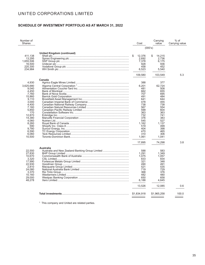# **SCHEDULE OF INVESTMENT PORTFOLIO AS AT MARCH 31, 2022**

| Number of<br><b>Shares</b> |                                                 |   | Cost         |         | Carrying<br>value | $%$ of<br>Carrying value |
|----------------------------|-------------------------------------------------|---|--------------|---------|-------------------|--------------------------|
|                            |                                                 |   |              | (000's) |                   |                          |
|                            | United Kingdom (continued)                      |   |              |         |                   |                          |
| 411,138                    |                                                 | S | 12,376       | \$      | 14,215            |                          |
| 13,295                     |                                                 |   | 2,692        |         | 2,736             |                          |
| 1.655.506<br>16,500        |                                                 |   | 7,378<br>928 |         | 6.175<br>936      |                          |
| 220,300                    |                                                 |   | 458          |         | 452               |                          |
| 234,984                    |                                                 |   | 6,523        |         | 5,540             |                          |
|                            |                                                 |   | 109,580      |         | 103,549           | 5.3                      |
|                            | Canada                                          |   |              |         |                   |                          |
| 4,930                      |                                                 |   | 388          |         | 377               |                          |
| 3,625,680                  |                                                 |   | 6,201        |         | 62.724            |                          |
| 9,040                      |                                                 |   | 481          |         | 508               |                          |
| 4,450                      |                                                 |   | 662          |         | 655               |                          |
| 7.760                      |                                                 |   | 707          |         | 695               |                          |
| 15.860                     |                                                 |   | 491          |         | 484               |                          |
| 9,110                      |                                                 |   | 641          |         | 644               |                          |
| 3.000                      |                                                 |   | 478          |         | 455               |                          |
| 4.400                      |                                                 |   | 738          |         | 738               |                          |
| 7,160                      |                                                 |   | 567          |         | 554               |                          |
| 5,850<br>170               |                                                 |   | 599<br>363   |         | 604<br>363        |                          |
| 12.870                     |                                                 |   | 732          |         | 741               |                          |
| 14,380                     |                                                 |   | 376          |         | 383               |                          |
| 4,060                      |                                                 |   | 545          |         | 527               |                          |
| 8,260                      |                                                 |   | 1,162        |         | 1,137             |                          |
| 590                        |                                                 |   | 519          |         | 499               |                          |
| 9.780                      |                                                 |   | 404          |         | 398               |                          |
| 6,590                      |                                                 |   | 470          |         | 465               |                          |
| 6.060                      |                                                 |   | 310          |         | 306               |                          |
| 10,500                     |                                                 |   | 1,061        |         | 1,041             |                          |
|                            |                                                 |   | 17,895       |         | 74,298            | 3.8                      |
|                            | Australia                                       |   |              |         |                   |                          |
| 22,550                     | Australia and New Zealand Banking Group Limited |   | 588          |         | 583               |                          |
| 27,830                     |                                                 |   | 1,291        |         | 1,349             |                          |
| 10,670                     |                                                 |   | 1.075        |         | 1,057             |                          |
| 3,320                      |                                                 |   | 833          |         | 834               |                          |
| 17,990                     |                                                 |   | 321          |         | 348               |                          |
| 22.930<br>2,810            |                                                 |   | 490          |         | 491               |                          |
| 24,080                     |                                                 |   | 521<br>719   |         | 535<br>729        |                          |
| 3,370                      |                                                 |   | 368          |         | 376               |                          |
| 10,160                     |                                                 |   | 482          |         | 480               |                          |
| 29,000                     |                                                 |   | 650          |         | 658               |                          |
| 48,278                     |                                                 |   | 6,188        |         | 4,645             |                          |
|                            |                                                 |   | 13,526       |         | 12,085            | 0.6                      |
|                            |                                                 |   |              |         |                   |                          |
|                            |                                                 |   | \$1,834,918  |         | \$1,965,258       | 100.0                    |

<sup>1</sup> This company and United are related parties.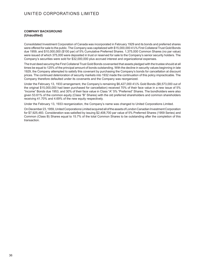#### **COMPANY BACKGROUND (Unaudited)**

Consolidated Investment Corporation of Canada was incorporated in February 1929 and its bonds and preferred shares were offered for sale to the public. The Company was capitalized with \$15,000,000 4½% First Collateral Trust Gold Bonds due 1959, and \$10,000,000 (\$100 par) of 5% Cumulative Preferred Shares. 1,375,000 Common Shares (no par value) were issued of which 375,000 were deposited in trust or reserved for sale to the Company's senior security holders. The Company's securities were sold for \$32,000,000 plus accrued interest and organizational expenses.

The trust deed securing the First Collateral Trust Gold Bonds covenanted that assets pledged with the trustee should at all times be equal to 125% of the principal amount of bonds outstanding. With the decline in security values beginning in late 1929, the Company attempted to satisfy this covenant by purchasing the Company's bonds for cancellation at discount prices. The continued deterioration of security markets into 1932 made the continuation of this policy impracticable. The Company therefore defaulted under its covenants and the Company was reorganized.

Under the February 13, 1933 arrangement, the Company's remaining \$6,427,000 4½% Gold Bonds (\$8,573,000 out of the original \$15,000,000 had been purchased for cancellation) received 70% of their face value in a new issue of 5% "Income" Bonds due 1953, and 30% of their face value in Class "A" 5% "Preferred" Shares. The bondholders were also given 53.61% of the common equity (Class "B" Shares) with the old preferred shareholders and common shareholders receiving 41.70% and 4.69% of the new equity respectively.

Under the February 13, 1933 reorganization, the Company's name was changed to United Corporations Limited.

On December 23, 1959, United Corporations Limited acquired all of the assets of London Canadian Investment Corporation for \$7,925,483. Consideration was satisfied by issuing \$2,408,700 par value of 5% Preferred Shares (1959 Series) and Common (Class B) Shares equal to 15.7% of the total Common Shares to be outstanding after the completion of this transaction.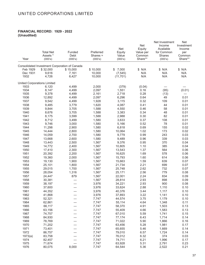#### **FINANCIAL RECORD: 1929 - 2022 (Unaudited)**

| Year                               | <b>Total Net</b><br>Assets *<br>(000's) | Funded<br>Debt<br>(000's)                     | Preferred<br>Shares $=$<br>(000's) | Net<br>Equity<br>Value<br>(000's) | Net<br>Equity<br>Value per<br>Common<br>Share** | Net Investment<br>Income<br>Available<br>for Common<br>Shares<br>(000's) | Net<br>Investment<br>Income<br>per<br>Common<br>Share** |
|------------------------------------|-----------------------------------------|-----------------------------------------------|------------------------------------|-----------------------------------|-------------------------------------------------|--------------------------------------------------------------------------|---------------------------------------------------------|
|                                    |                                         | Consolidated Investment Corporation of Canada |                                    |                                   |                                                 |                                                                          |                                                         |
| Feb 1929                           | \$32,000                                | \$15,000                                      | \$10,000                           | 7,000<br>\$                       | \$ N/A                                          | \$ N/A                                                                   | \$ N/A                                                  |
| Dec 1931                           | 9,616                                   | 7,161                                         | 10,000                             | (7, 545)                          | N/A                                             | N/A                                                                      | N/A                                                     |
| 1932                               | 4,726                                   | 6,427                                         | 10,000                             | (11, 701)                         | N/A                                             | N/A                                                                      | N/A                                                     |
| <b>United Corporations Limited</b> |                                         |                                               |                                    |                                   |                                                 |                                                                          |                                                         |
| 1933                               | 6,120                                   | 4,499                                         | 2,000                              | (379)                             | (0.04)                                          |                                                                          |                                                         |
| 1934                               | 8,147                                   | 4,499                                         | 2,097                              | 1,551                             | 0.16                                            | (95)                                                                     | (0.01)                                                  |
| 1935                               | 9,378                                   | 4,499                                         | 2,161                              | 2,718                             | 0.28                                            | (13)                                                                     |                                                         |
| 1936                               | 12,892                                  | 4,499                                         | 2,097                              | 6,296                             | 0.64                                            | 49                                                                       | 0.01                                                    |
| 1937                               | 9,542                                   | 4,499                                         | 1,928                              | 3,115                             | 0.32                                            | 109                                                                      | 0.01                                                    |
| 1938                               | 9,485                                   | 3,779                                         | 1,620                              | 4,087                             | 0.41                                            | 44                                                                       | 0.01                                                    |
| 1939                               | 9,844                                   | 3,705                                         | 1,588                              | 4,550                             | 0.46                                            | 58                                                                       | 0.01                                                    |
| 1940                               | 8,676                                   | 3,705                                         | 1,588                              | 3,383                             | 0.34                                            | 48                                                                       | 0.01                                                    |
| 1941                               | 8,175                                   | 3,599                                         | 1,588                              | 2,988                             | 0.30                                            | 82                                                                       | 0.01                                                    |
| 1942                               | 8,712                                   | 3,499                                         | 1,580                              | 3,633                             | 0.37                                            | 108                                                                      | 0.01                                                    |
| 1943                               | 9,746                                   | 3,000                                         | 1,580                              | 5,166                             | 0.52                                            | 78                                                                       | 0.01                                                    |
| 1944                               | 11,298                                  | 2,900                                         | 1,580                              | 6,818                             | 0.69                                            | 155                                                                      | 0.02                                                    |
| 1945                               | 14,444                                  | 2,800                                         | 1,580                              | 10,064                            | 1.02                                            | 173                                                                      | 0.02                                                    |
| 1946                               | 14,059                                  | 2,700                                         | 1,580                              | 9,779                             | 0.99                                            | 243                                                                      | 0.03                                                    |
| 1947                               | 13,668                                  | 2,600                                         | 1,580                              | 9,489                             | 0.96                                            | 339                                                                      | 0.03                                                    |
| 1948                               | 13,443                                  | 2,500                                         | 1,567                              | 9,376                             | 0.95                                            | 370                                                                      | 0.04                                                    |
|                                    |                                         |                                               |                                    |                                   |                                                 | 385                                                                      |                                                         |
| 1949<br>1950                       | 14,772                                  | 2,400                                         | 1,567                              | 10,805                            | 1.10                                            |                                                                          | 0.04                                                    |
|                                    | 17,410                                  | 2,300                                         | 1,567                              | 13,543                            | 1.37<br>1.69                                    | 564<br>578                                                               | 0.06                                                    |
| 1951<br>1952                       | 20,392                                  | 2,200                                         | 1,567                              | 16,625                            |                                                 |                                                                          | 0.06                                                    |
|                                    | 19,360                                  | 2,000                                         | 1,567                              | 15,793                            | 1.60                                            | 614                                                                      | 0.06                                                    |
| 1953                               | 19,130                                  | 1,900                                         | 1,567                              | 15,663                            | 1.59                                            | 639                                                                      | 0.07                                                    |
| 1954                               | 25,101                                  | 1,800                                         | 1,567                              | 21,734                            | 2.21                                            | 699                                                                      | 0.07                                                    |
| 1955                               | 29,015                                  | 1,700                                         | 1,567                              | 25,748                            | 2.62                                            | 732                                                                      | 0.07                                                    |
| 1956                               | 28,054                                  | 1,316                                         | 1,567                              | 25,171                            | 2.56                                            | 779                                                                      | 0.08                                                    |
| 1957                               | 24,447                                  | 879                                           | 1,567                              | 22,001                            | 2.24                                            | 834                                                                      | 0.09                                                    |
| 1958                               | 30,381                                  |                                               | 1,567                              | 28,814                            | 2.93                                            | 898                                                                      | 0.09                                                    |
| 1959                               | 38,197                                  |                                               | 3,976                              | 34,221                            | 2.93                                            | 900                                                                      | 0.08                                                    |
| 1960                               | 37,600                                  |                                               | 3,976                              | 33,624                            | 2.88                                            | 1,110                                                                    | 0.10                                                    |
| 1961                               | 44,352                                  |                                               | 3,976                              | 40,376                            | 3.44                                            | 1,117                                                                    | 0.10                                                    |
| 1962                               | 41,868                                  |                                               | 3,976                              | 37,893                            | 3.22                                            | 1,141                                                                    | 0.10                                                    |
| 1963                               | 52,321                                  |                                               | 7,747                              | 44,574                            | 3.75                                            | 1,179                                                                    | 0.10                                                    |
| 1964                               | 62,861                                  |                                               | 7,747                              | 55,114                            | 4.64                                            | 1,348                                                                    | 0.11                                                    |
| 1965                               | 66,117                                  |                                               | 7,747                              | 58,370                            | 4.91                                            | 1,503                                                                    | 0.13                                                    |
| 1966                               | 63,156                                  |                                               | 7,747                              | 55,409                            | 4.66                                            | 1,583                                                                    | 0.13                                                    |
| 1967                               | 74,757                                  |                                               | 7,747                              | 67,010                            | 5.59                                            | 1,741                                                                    | 0.15                                                    |
| 1968                               | 84,930                                  |                                               | 7,747                              | 77,174                            | 6.43                                            | 1,714                                                                    | 0.14                                                    |
| 1969                               | 78,769                                  |                                               | 7,747                              | 71,022                            | 5.90                                            | 1,866                                                                    | 0.16                                                    |
| 1970                               | 71,202                                  | —                                             | 7,747                              | 63,456                            | 5.28                                            | 1,981                                                                    | 0.17                                                    |
| 1971                               | 73,401                                  | $\overline{\phantom{0}}$                      | 7,747                              | 65,655                            | 5.46                                            | 1,669                                                                    | 0.14                                                    |
| 1972                               | 86,757                                  |                                               | 7,747                              | 79,010                            | 6.57                                            | 1,724                                                                    | 0.14                                                    |
| 1973(a)                            | 83,758                                  |                                               | 7,747                              | 76,012                            | 6.32                                            | 374                                                                      | 0.03                                                    |
| 1974                               | 82,457                                  |                                               | 7,747                              | 74,711                            | 6.21                                            | 1,996                                                                    | 0.17                                                    |
| 1975                               | 71,674                                  |                                               | 7,747                              | 63,928                            | 5.31                                            | 2,791                                                                    | 0.23                                                    |
| 1976                               | 80,075                                  | 8,000                                         | 7,747                              | 64,544                            | 5.36                                            | 2,522                                                                    | 0.21                                                    |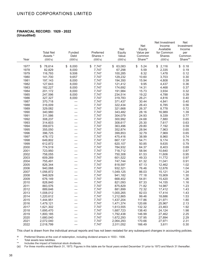#### **FINANCIAL RECORD: 1929 - 2022 (Unaudited)**

| Year         | <b>Total Net</b><br>Assets *<br>(000's) | Funded<br>Debt<br>(000's)                   | Preferred<br>Shares $=$<br>(000's) | Net<br>Equity<br>Value<br>(000's) | Net<br>Equity<br>Value per<br>Common<br>Share** | Net Investment<br>Income<br>Available<br>for Common<br><b>Shares</b><br>(000's) | Net<br>Investment<br>Income<br>per<br>Common<br>Share** |
|--------------|-----------------------------------------|---------------------------------------------|------------------------------------|-----------------------------------|-------------------------------------------------|---------------------------------------------------------------------------------|---------------------------------------------------------|
| 1977         | \$78,614                                | \$<br>8,000                                 | \$<br>7,747                        | 63,083<br>\$                      | 5.24<br>\$                                      | \$<br>2,116                                                                     | \$<br>0.18                                              |
| 1978         | 82,829                                  | 8,000                                       | 7,747                              | 67,298                            | 5.59                                            | 2,335                                                                           | 0.19                                                    |
| 1979         | 116,793                                 | 9,506                                       | 7,747                              | 100,285                           | 8.32                                            | 1,478                                                                           | 0.12                                                    |
| 1980         | 141,700                                 | 9,657                                       | 7,747                              | 129,232                           | 10.60                                           | 3,703                                                                           | 0.30                                                    |
| 1981         | 197,143                                 | 8,000                                       | 7,747                              | 194,350                           | 15.94                                           | 4,808                                                                           | 0.39                                                    |
| 1982         | 127,643                                 | 8,000                                       | 7,747                              | 121,412                           | 9.95                                            | 4,437                                                                           | 0.36                                                    |
| 1983         | 182,227                                 | 8,000                                       | 7,747                              | 174,692                           | 14.31                                           | 4,468                                                                           | 0.37                                                    |
| 1984         | 201,172                                 | 8,000                                       | 7,747                              | 191,984                           | 15.73                                           | 3,934                                                                           | 0.32                                                    |
| 1985         | 247,596                                 | 8,000                                       | 7,747                              | 234,514                           | 19.22                                           | 4,788                                                                           | 0.39                                                    |
| 1986         | 327,327                                 | 8,000                                       | 7,747                              | 319,783                           | 26.21                                           | 4,816                                                                           | 0.40                                                    |
| 1987         | 370,718                                 |                                             | 7,747                              | 371,437                           | 30.44                                           | 4,841                                                                           | 0.40                                                    |
| 1988         | 316,009                                 | —                                           | 7,747                              | 322,434                           | 26.43                                           | 6,785                                                                           | 0.56                                                    |
| 1989         | 329,082                                 |                                             | 7,747                              | 321,668                           | 26.37                                           | 8,778                                                                           | 0.72                                                    |
| 1990         | 340,980                                 | $\overline{\phantom{0}}$                    | 7,747                              | 343,482                           | 28.16                                           | 16,989                                                                          | 1.39                                                    |
| 1991         | 311,586                                 | $\qquad \qquad$                             | 7,747                              | 304,079                           | 24.93                                           | 9,339                                                                           | 0.77                                                    |
| 1992         | 308,237                                 | $\overline{\phantom{0}}$                    | 7,747                              | 300,992                           | 24.68                                           | 7,880                                                                           | 0.65                                                    |
| 1993         | 314,603                                 |                                             | 7,747                              | 308,617                           | 25.30                                           | 7,617                                                                           | 0.63                                                    |
| 1994         | 359,673                                 |                                             | 7,747                              | 363,496                           | 29.80                                           | 7,192                                                                           | 0.59                                                    |
| 1995         | 355,050                                 | $\qquad \qquad$<br>$\overline{\phantom{0}}$ | 7,747                              | 352,874                           | 28.94<br>32.79                                  | 7,963                                                                           | 0.65                                                    |
| 1996<br>1997 | 396,725<br>478,172                      |                                             | 7,747<br>7,747                     | 399,853<br>475,416                | 38.99                                           | 7,969<br>8,960                                                                  | 0.65<br>0.74                                            |
| 1998         | 649,802                                 | $\overline{\phantom{0}}$<br>$\qquad \qquad$ | 7,747                              | 667,137                           | 54.71                                           | 9,174                                                                           | 0.75                                                    |
| 1999         | 612,872                                 | $\qquad \qquad$                             | 7,747                              | 620,107                           | 50.85                                           | 9,635                                                                           | 0.79                                                    |
| 2000         | 774,519                                 | $\overline{\phantom{0}}$                    | 7,747                              | 784,932                           | 64.37                                           | 8,403                                                                           | 0.69                                                    |
| 2001         | 723,950                                 | $\overbrace{\phantom{123221111}}$           | 7,747                              | 718,712                           | 58.94                                           | 10,640                                                                          | 0.87                                                    |
| 2002         | 758,055                                 |                                             | 7,747                              | 750,308                           | 61.53                                           | 11,606                                                                          | 0.95                                                    |
| 2003         | 609,269                                 | $\qquad \qquad$                             | 7,747                              | 601,522                           | 49.33                                           | 11,772                                                                          | 0.97                                                    |
| 2004         | 755,491                                 | $\overline{\phantom{0}}$                    | 7,747                              | 747,744                           | 61.32                                           | 11,041                                                                          | 0.91                                                    |
| 2005         | 826,344                                 |                                             | 7,747                              | 818,597                           | 67.13                                           | 12,462                                                                          | 1.02                                                    |
| 2006         | 940,068                                 | $\qquad \qquad$                             | 7,747                              | 932,321                           | 76.46                                           | 12,676                                                                          | 1.04                                                    |
| 2007         | 1,056,872                               | $\qquad \qquad$                             | 7,747                              | 1,049,125                         | 86.03                                           | 15,121                                                                          | 1.24                                                    |
| 2008         | 948,929                                 | $\overline{\phantom{0}}$                    | 7,747                              | 941,182                           | 77.18                                           | 15,909                                                                          | 1.30                                                    |
| 2009         | 676,149                                 | $\overline{\phantom{0}}$                    | 7,747                              | 668,402                           | 54.81                                           | 15,420                                                                          | 1.26                                                    |
| 2010         | 828,840                                 |                                             | 7,747                              | 821,093                           | 67.33                                           | 14,155                                                                          | 1.16                                                    |
| 2011         | 883,576                                 |                                             | 7,747                              | 875,829                           | 71.82                                           | 14,987                                                                          | 1.23                                                    |
| 2012         | 889,646                                 |                                             | 7,747                              | 881,899                           | 72.32                                           | 17,412                                                                          | 1.43                                                    |
| 2013         | 1,008,012                               |                                             | 7,747                              | 1,000,265                         | 82.03                                           | 17,414                                                                          | 1.43                                                    |
| 2014         | 1,220,612                               |                                             | 7,747                              | 1,212,865                         | 99.46                                           | 18,686                                                                          | 1.53                                                    |
| 2015         | 1,444,951                               | $\overline{\phantom{0}}$                    | 7,747                              | 1,437,204                         | 117.86                                          | 21,971                                                                          | 1.80                                                    |
| 2016         | 1,479,121                               | —                                           | 7,747                              | 1,471,374                         | 120.66                                          | 25,967                                                                          | 2.13                                                    |
| 2017         | 1,621,302                               |                                             | 7,747                              | 1,613,555                         | 132.32                                          | 23,463                                                                          | 1.92                                                    |
| 2018         | 1,695,470                               |                                             | 7,747                              | 1,687,723                         | 138.40                                          | 24,124                                                                          | 1.98                                                    |
| 2019         | 1,800,185                               |                                             | 7,747                              | 1,792,438                         | 146.99                                          | 27,462                                                                          | 2.25                                                    |
| 2020         | 1,680,040                               |                                             | 7,747                              | 1,672,293                         | 137.95                                          | 27,894                                                                          | 2.29                                                    |
| 2021         | 2,072,040                               |                                             | 7,747                              | 2,064,293                         | 170.66                                          | 27,971                                                                          | 2.31                                                    |
| 2022         | 2,018,799                               |                                             | 7,747                              | 2,011,052                         | 166.49                                          | 3,611                                                                           | 0.30                                                    |

This chart is drawn from the individual annual reports and has not been restated for any subsequent changes in accounting policies.

= Preferred Shares at the cost of redemption, including dividend arrears in 1933 - 1936.

\* Total assets less liabilities.<br>\*\* Includes the impact of history

Includes the impact of historical stock dividends.

(a) For three months ended March 31, 1973. Figures in this table are for fiscal years ended December 31 prior to 1973 and March 31 thereafter.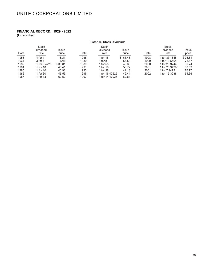#### **FINANCIAL RECORD: 1929 - 2022 (Unaudited)**

#### **Historical Stock Dividends**

| Date | <b>Stock</b><br>dividend<br>rate | Issue<br>price | Date | <b>Stock</b><br>dividend<br>rate | <b>Issue</b><br>price | Date | <b>Stock</b><br>dividend<br>rate | <b>Issue</b><br>price |
|------|----------------------------------|----------------|------|----------------------------------|-----------------------|------|----------------------------------|-----------------------|
| 1953 | 4 for 1                          | Split          | 1988 | 1 for 15                         | \$65.46               | 1998 | 1 for 33,1645                    | \$76.61               |
| 1964 | 3 for 1                          | Split          | 1989 | 1 for $8$                        | 54.53                 | 1999 | 1 for 13.5404                    | 78.67                 |
| 1982 | 1 for 6.4725                     | \$38.81        | 1989 | 1 for 55                         | 48.30                 | 2000 | 1 for 20.9744                    | 69.74                 |
| 1984 | 1 for 10                         | 40.41          | 1991 | 1 for 16                         | 50.72                 | 2001 | 1 for 20.94286                   | 80.63                 |
| 1985 | 1 for 10                         | 40.93          | 1993 | 1 for 38                         | 42.18                 | 2001 | 1 for 7.9472                     | 76.77                 |
| 1986 | 1 for 30                         | 46.53          | 1995 | 1 for 16,42525                   | 49.44                 | 2002 | 1 for 15.3238                    | 64.36                 |
| 1987 | 1 for 13                         | 60.52          | 1997 | 1 for 14.47926                   | 62.84                 |      |                                  |                       |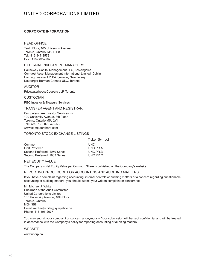#### **CORPORATE INFORMATION**

#### HEAD OFFICE

Tenth Floor, 165 University Avenue Toronto, Ontario, M5H 3B8 Tel: 416-947-2578 Fax: 416-362-2592

#### EXTERNAL INVESTMENT MANAGERS

Causeway Capital Management LLC, Los Angeles Comgest Asset Management International Limited, Dublin Harding Loevner LP, Bridgewater, New Jersey Neuberger Berman Canada ULC, Toronto

#### AUDITOR

PricewaterhouseCoopers LLP, Toronto

#### **CUSTODIAN**

RBC Investor & Treasury Services

#### TRANSFER AGENT AND REGISTRAR

Computershare Investor Services Inc. 100 University Avenue, 8th Floor Toronto, Ontario M5J 2Y1 Toll Free: 1-800-564-6253 www.computershare.com

#### TORONTO STOCK EXCHANGE LISTINGS

|                               | <b>Ticker Symbol</b> |
|-------------------------------|----------------------|
| Common                        | UNC.                 |
| <b>First Preferred</b>        | UNC.PR.A             |
| Second Preferred, 1959 Series | UNC.PR.B             |
| Second Preferred, 1963 Series | UNC.PR.C             |

#### NET EQUITY VALUE

The Company's Net Equity Value per Common Share is published on the Company's website.

#### REPORTING PROCEDURE FOR ACCOUNTING AND AUDITING MATTERS

If you have a complaint regarding accounting, internal controls or auditing matters or a concern regarding questionable accounting or auditing matters, you should submit your written complaint or concern to:

Mr. Michael J. White Chairman of the Audit Committee United Corporations Limited 165 University Avenue, 10th Floor Toronto, Ontario M5H 3B8 Email: michaeljwhite@sympatico.ca Phone: 416-505-2677

You may submit your complaint or concern anonymously. Your submission will be kept confidential and will be treated in accordance with the Company's policy for reporting accounting or auditing matters.

#### WEBSITE

www.ucorp.ca